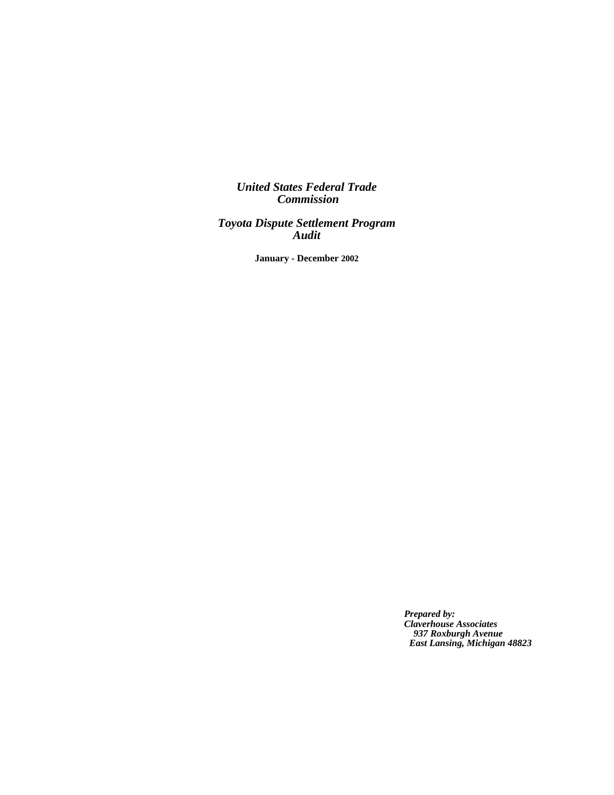*United States Federal Trade Commission*

*Toyota Dispute Settlement Program Audit*

**January - December 2002**

 *Prepared by: Claverhouse Associates 937 Roxburgh Avenue East Lansing, Michigan 48823*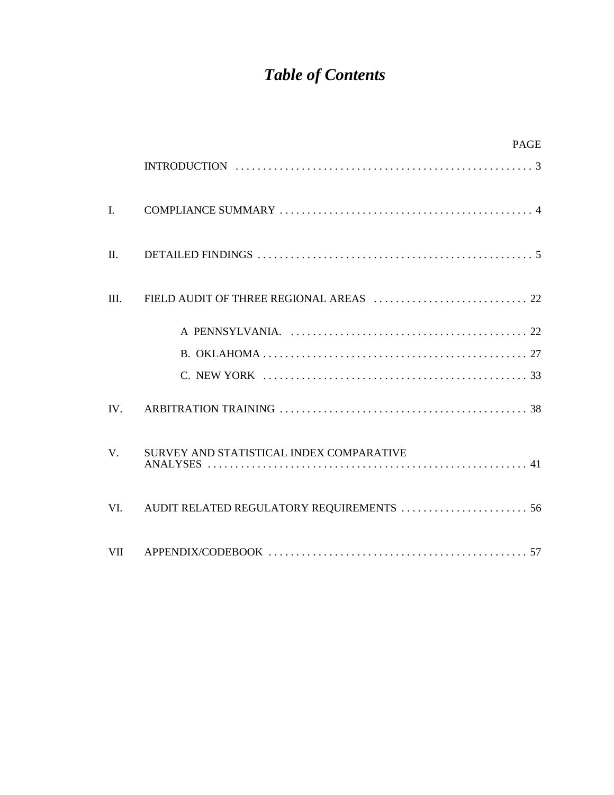# *Table of Contents*

|                | <b>PAGE</b>                                                                                                    |  |
|----------------|----------------------------------------------------------------------------------------------------------------|--|
|                |                                                                                                                |  |
| $\mathbf{I}$ . |                                                                                                                |  |
| $\Pi$ .        | DETAILED FINDINGS $\ldots \ldots \ldots \ldots \ldots \ldots \ldots \ldots \ldots \ldots \ldots \ldots \ldots$ |  |
| III.           |                                                                                                                |  |
|                |                                                                                                                |  |
|                |                                                                                                                |  |
|                |                                                                                                                |  |
| IV.            |                                                                                                                |  |
| V.             | SURVEY AND STATISTICAL INDEX COMPARATIVE                                                                       |  |
| VI.            |                                                                                                                |  |
| <b>VII</b>     |                                                                                                                |  |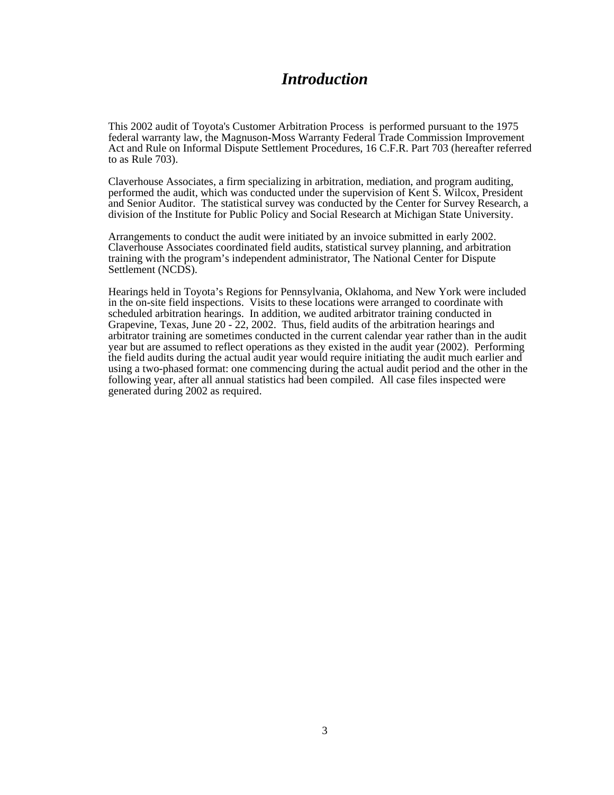## *Introduction*

This 2002 audit of Toyota's Customer Arbitration Process is performed pursuant to the 1975 federal warranty law, the Magnuson-Moss Warranty Federal Trade Commission Improvement Act and Rule on Informal Dispute Settlement Procedures, 16 C.F.R. Part 703 (hereafter referred to as Rule 703).

Claverhouse Associates, a firm specializing in arbitration, mediation, and program auditing, performed the audit, which was conducted under the supervision of Kent S. Wilcox, President and Senior Auditor. The statistical survey was conducted by the Center for Survey Research, a division of the Institute for Public Policy and Social Research at Michigan State University.

Arrangements to conduct the audit were initiated by an invoice submitted in early 2002. Claverhouse Associates coordinated field audits, statistical survey planning, and arbitration training with the program's independent administrator, The National Center for Dispute Settlement (NCDS).

Hearings held in Toyota's Regions for Pennsylvania, Oklahoma, and New York were included in the on-site field inspections. Visits to these locations were arranged to coordinate with scheduled arbitration hearings. In addition, we audited arbitrator training conducted in Grapevine, Texas, June 20 - 22, 2002. Thus, field audits of the arbitration hearings and arbitrator training are sometimes conducted in the current calendar year rather than in the audit year but are assumed to reflect operations as they existed in the audit year (2002). Performing the field audits during the actual audit year would require initiating the audit much earlier and using a two-phased format: one commencing during the actual audit period and the other in the following year, after all annual statistics had been compiled. All case files inspected were generated during 2002 as required.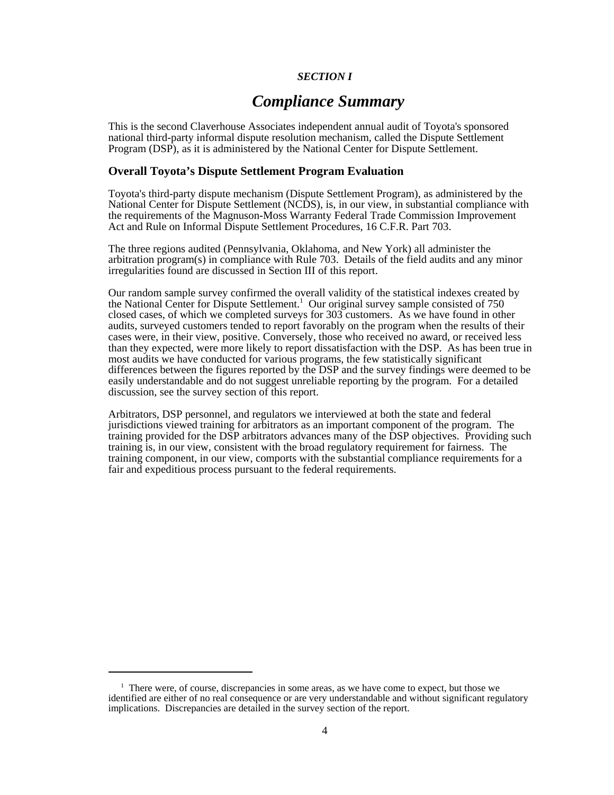#### *SECTION I*

## *Compliance Summary*

This is the second Claverhouse Associates independent annual audit of Toyota's sponsored national third-party informal dispute resolution mechanism, called the Dispute Settlement Program (DSP), as it is administered by the National Center for Dispute Settlement.

#### **Overall Toyota's Dispute Settlement Program Evaluation**

Toyota's third-party dispute mechanism (Dispute Settlement Program), as administered by the National Center for Dispute Settlement (NCDS), is, in our view, in substantial compliance with the requirements of the Magnuson-Moss Warranty Federal Trade Commission Improvement Act and Rule on Informal Dispute Settlement Procedures, 16 C.F.R. Part 703.

The three regions audited (Pennsylvania, Oklahoma, and New York) all administer the arbitration program(s) in compliance with Rule 703. Details of the field audits and any minor irregularities found are discussed in Section III of this report.

Our random sample survey confirmed the overall validity of the statistical indexes created by the National Center for Dispute Settlement.<sup>1</sup> Our original survey sample consisted of 750 closed cases, of which we completed surveys for 303 customers. As we have found in other audits, surveyed customers tended to report favorably on the program when the results of their cases were, in their view, positive. Conversely, those who received no award, or received less than they expected, were more likely to report dissatisfaction with the DSP. As has been true in most audits we have conducted for various programs, the few statistically significant differences between the figures reported by the DSP and the survey findings were deemed to be easily understandable and do not suggest unreliable reporting by the program. For a detailed discussion, see the survey section of this report.

Arbitrators, DSP personnel, and regulators we interviewed at both the state and federal jurisdictions viewed training for arbitrators as an important component of the program. The training provided for the  $\overline{DSP}$  arbitrators advances many of the  $\overline{DSP}$  objectives. Providing such training is, in our view, consistent with the broad regulatory requirement for fairness. The training component, in our view, comports with the substantial compliance requirements for a fair and expeditious process pursuant to the federal requirements.

<sup>&</sup>lt;sup>1</sup> There were, of course, discrepancies in some areas, as we have come to expect, but those we identified are either of no real consequence or are very understandable and without significant regulatory implications. Discrepancies are detailed in the survey section of the report.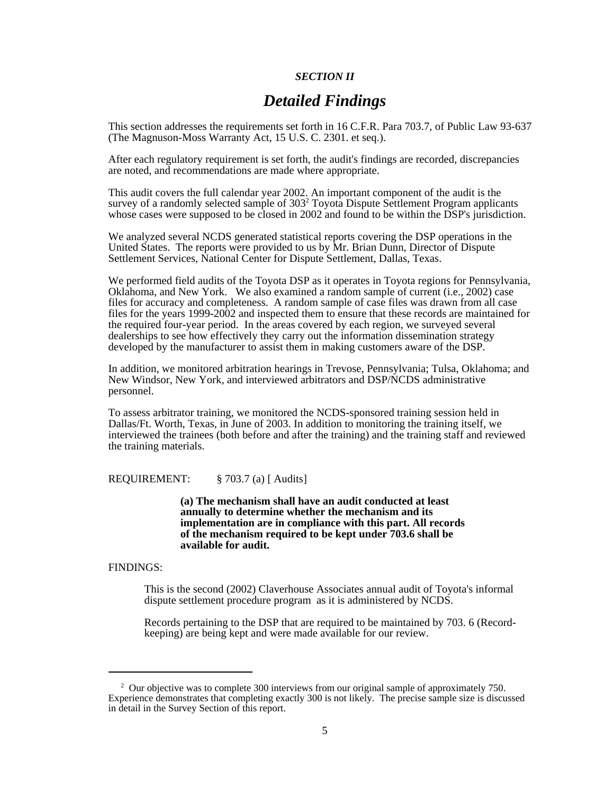#### *SECTION II*

## *Detailed Findings*

This section addresses the requirements set forth in 16 C.F.R. Para 703.7, of Public Law 93-637 (The Magnuson-Moss Warranty Act, 15 U.S. C. 2301. et seq.).

After each regulatory requirement is set forth, the audit's findings are recorded, discrepancies are noted, and recommendations are made where appropriate.

This audit covers the full calendar year 2002. An important component of the audit is the survey of a randomly selected sample of 303<sup>2</sup> Toyota Dispute Settlement Program applicants whose cases were supposed to be closed in 2002 and found to be within the DSP's jurisdiction.

We analyzed several NCDS generated statistical reports covering the DSP operations in the United States. The reports were provided to us by Mr. Brian Dunn, Director of Dispute Settlement Services, National Center for Dispute Settlement, Dallas, Texas.

We performed field audits of the Toyota DSP as it operates in Toyota regions for Pennsylvania, Oklahoma, and New York. We also examined a random sample of current (i.e., 2002) case files for accuracy and completeness. A random sample of case files was drawn from all case files for the years 1999-2002 and inspected them to ensure that these records are maintained for the required four-year period. In the areas covered by each region, we surveyed several dealerships to see how effectively they carry out the information dissemination strategy developed by the manufacturer to assist them in making customers aware of the DSP.

In addition, we monitored arbitration hearings in Trevose, Pennsylvania; Tulsa, Oklahoma; and New Windsor, New York, and interviewed arbitrators and DSP/NCDS administrative personnel.

To assess arbitrator training, we monitored the NCDS-sponsored training session held in Dallas/Ft. Worth, Texas, in June of 2003. In addition to monitoring the training itself, we interviewed the trainees (both before and after the training) and the training staff and reviewed the training materials.

REQUIREMENT: § 703.7 (a) [ Audits]

**(a) The mechanism shall have an audit conducted at least annually to determine whether the mechanism and its implementation are in compliance with this part. All records of the mechanism required to be kept under 703.6 shall be available for audit.**

#### FINDINGS:

This is the second (2002) Claverhouse Associates annual audit of Toyota's informal dispute settlement procedure program as it is administered by NCDS.

Records pertaining to the DSP that are required to be maintained by 703. 6 (Recordkeeping) are being kept and were made available for our review.

<sup>&</sup>lt;sup>2</sup> Our objective was to complete 300 interviews from our original sample of approximately 750. Experience demonstrates that completing exactly 300 is not likely. The precise sample size is discussed in detail in the Survey Section of this report.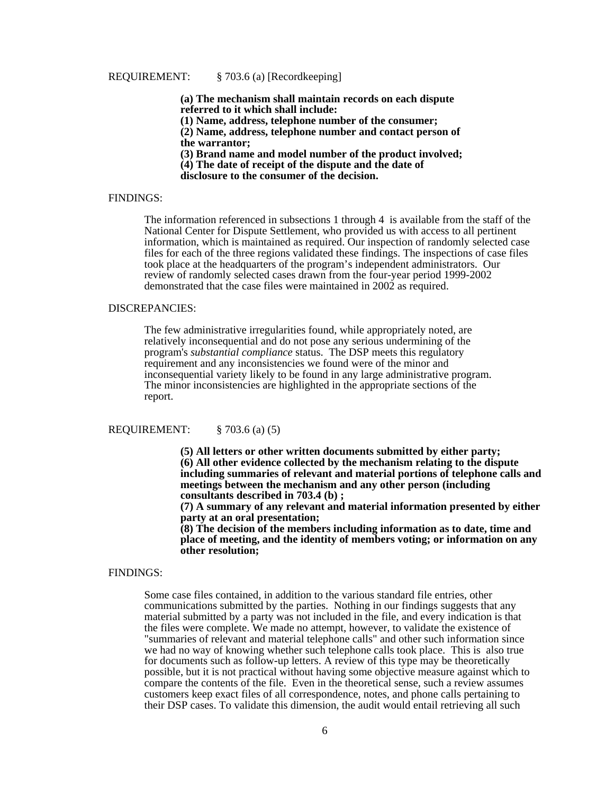#### REQUIREMENT: § 703.6 (a) [Recordkeeping]

**(a) The mechanism shall maintain records on each dispute referred to it which shall include: (1) Name, address, telephone number of the consumer; (2) Name, address, telephone number and contact person of the warrantor; (3) Brand name and model number of the product involved; (4) The date of receipt of the dispute and the date of disclosure to the consumer of the decision.**

#### FINDINGS:

The information referenced in subsections 1 through 4 is available from the staff of the National Center for Dispute Settlement, who provided us with access to all pertinent information, which is maintained as required. Our inspection of randomly selected case files for each of the three regions validated these findings. The inspections of case files took place at the headquarters of the program's independent administrators. Our review of randomly selected cases drawn from the four-year period 1999-2002 demonstrated that the case files were maintained in 2002 as required.

#### DISCREPANCIES:

The few administrative irregularities found, while appropriately noted, are relatively inconsequential and do not pose any serious undermining of the program's *substantial compliance* status. The DSP meets this regulatory requirement and any inconsistencies we found were of the minor and inconsequential variety likely to be found in any large administrative program. The minor inconsistencies are highlighted in the appropriate sections of the report.

#### REQUIREMENT: § 703.6 (a) (5)

**(5) All letters or other written documents submitted by either party; (6) All other evidence collected by the mechanism relating to the dispute including summaries of relevant and material portions of telephone calls and meetings between the mechanism and any other person (including consultants described in 703.4 (b) ;** 

**(7) A summary of any relevant and material information presented by either party at an oral presentation;** 

**(8) The decision of the members including information as to date, time and place of meeting, and the identity of members voting; or information on any other resolution;**

#### FINDINGS:

 Some case files contained, in addition to the various standard file entries, other communications submitted by the parties. Nothing in our findings suggests that any material submitted by a party was not included in the file, and every indication is that the files were complete. We made no attempt, however, to validate the existence of "summaries of relevant and material telephone calls" and other such information since we had no way of knowing whether such telephone calls took place. This is also true for documents such as follow-up letters. A review of this type may be theoretically possible, but it is not practical without having some objective measure against which to compare the contents of the file. Even in the theoretical sense, such a review assumes customers keep exact files of all correspondence, notes, and phone calls pertaining to their DSP cases. To validate this dimension, the audit would entail retrieving all such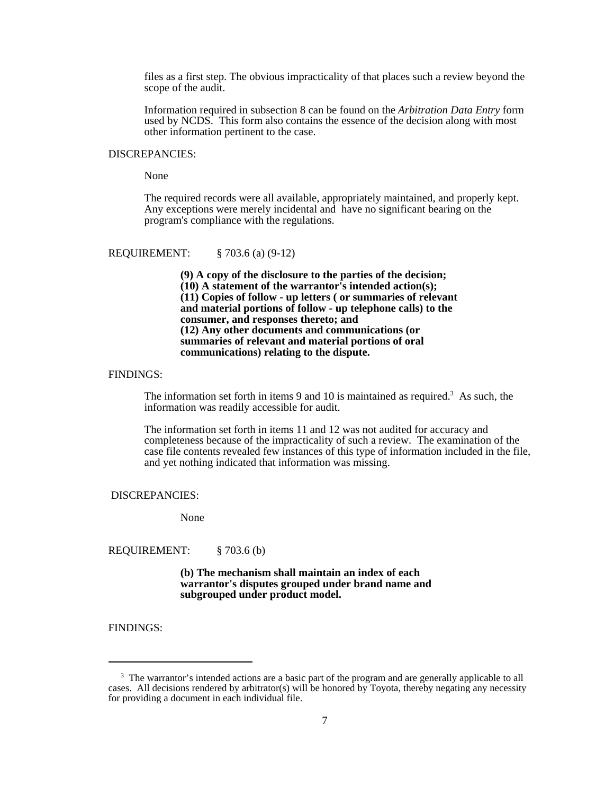files as a first step. The obvious impracticality of that places such a review beyond the scope of the audit.

Information required in subsection 8 can be found on the *Arbitration Data Entry* form used by NCDS. This form also contains the essence of the decision along with most other information pertinent to the case.

#### DISCREPANCIES:

None

The required records were all available, appropriately maintained, and properly kept. Any exceptions were merely incidental and have no significant bearing on the program's compliance with the regulations.

REQUIREMENT: § 703.6 (a) (9-12)

**(9) A copy of the disclosure to the parties of the decision; (10) A statement of the warrantor's intended action(s); (11) Copies of follow - up letters ( or summaries of relevant and material portions of follow - up telephone calls) to the consumer, and responses thereto; and (12) Any other documents and communications (or summaries of relevant and material portions of oral communications) relating to the dispute.**

#### FINDINGS:

The information set forth in items  $9$  and  $10$  is maintained as required.<sup>3</sup> As such, the information was readily accessible for audit.

The information set forth in items 11 and 12 was not audited for accuracy and completeness because of the impracticality of such a review. The examination of the case file contents revealed few instances of this type of information included in the file, and yet nothing indicated that information was missing.

#### DISCREPANCIES:

None

REQUIREMENT: § 703.6 (b)

**(b) The mechanism shall maintain an index of each warrantor's disputes grouped under brand name and subgrouped under product model.**

FINDINGS:

<sup>&</sup>lt;sup>3</sup> The warrantor's intended actions are a basic part of the program and are generally applicable to all cases. All decisions rendered by arbitrator(s) will be honored by Toyota, thereby negating any necessity for providing a document in each individual file.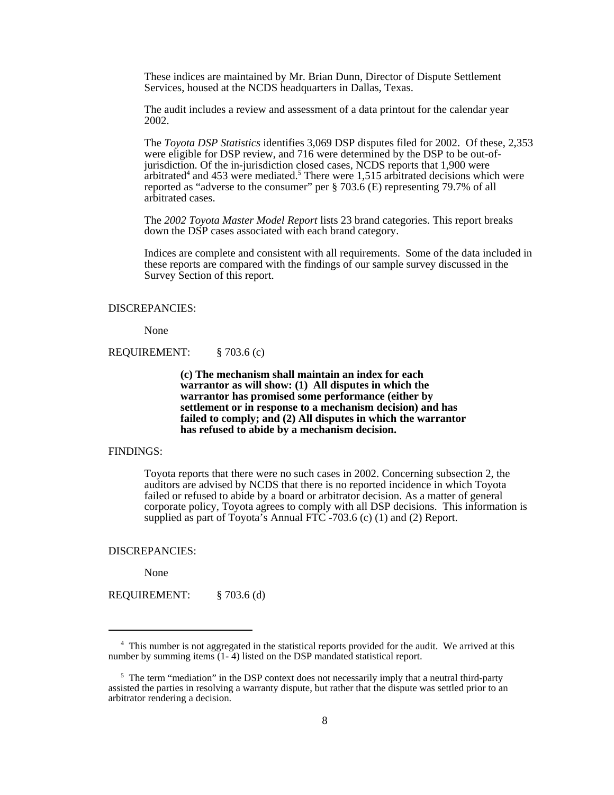These indices are maintained by Mr. Brian Dunn, Director of Dispute Settlement Services, housed at the NCDS headquarters in Dallas, Texas.

The audit includes a review and assessment of a data printout for the calendar year 2002.

The *Toyota DSP Statistics* identifies 3,069 DSP disputes filed for 2002. Of these, 2,353 were eligible for DSP review, and 716 were determined by the DSP to be out-ofjurisdiction. Of the in-jurisdiction closed cases, NCDS reports that 1,900 were arbitrated<sup>4</sup> and 453 were mediated.<sup>5</sup> There were 1,515 arbitrated decisions which were reported as "adverse to the consumer" per § 703.6 (E) representing 79.7% of all arbitrated cases.

The *2002 Toyota Master Model Report* lists 23 brand categories. This report breaks down the DSP cases associated with each brand category.

Indices are complete and consistent with all requirements. Some of the data included in these reports are compared with the findings of our sample survey discussed in the Survey Section of this report.

#### DISCREPANCIES:

None

REQUIREMENT: § 703.6 (c)

**(c) The mechanism shall maintain an index for each warrantor as will show: (1) All disputes in which the warrantor has promised some performance (either by settlement or in response to a mechanism decision) and has failed to comply; and (2) All disputes in which the warrantor has refused to abide by a mechanism decision.**

#### FINDINGS:

Toyota reports that there were no such cases in 2002. Concerning subsection 2, the auditors are advised by NCDS that there is no reported incidence in which Toyota failed or refused to abide by a board or arbitrator decision. As a matter of general corporate policy, Toyota agrees to comply with all DSP decisions. This information is supplied as part of Toyota's Annual FTC -703.6 (c) (1) and (2) Report.

DISCREPANCIES:

None

REQUIREMENT: § 703.6 (d)

<sup>&</sup>lt;sup>4</sup> This number is not aggregated in the statistical reports provided for the audit. We arrived at this number by summing items (1-4) listed on the DSP mandated statistical report.

<sup>&</sup>lt;sup>5</sup> The term "mediation" in the DSP context does not necessarily imply that a neutral third-party assisted the parties in resolving a warranty dispute, but rather that the dispute was settled prior to an arbitrator rendering a decision.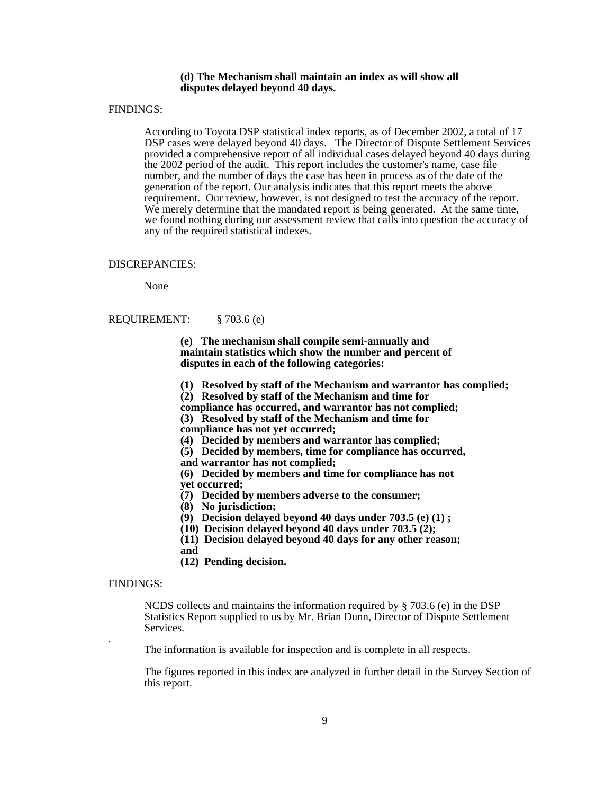#### **(d) The Mechanism shall maintain an index as will show all disputes delayed beyond 40 days.**

#### FINDINGS:

According to Toyota DSP statistical index reports, as of December 2002, a total of 17 DSP cases were delayed beyond 40 days. The Director of Dispute Settlement Services provided a comprehensive report of all individual cases delayed beyond 40 days during the 2002 period of the audit. This report includes the customer's name, case file number, and the number of days the case has been in process as of the date of the generation of the report. Our analysis indicates that this report meets the above requirement. Our review, however, is not designed to test the accuracy of the report. We merely determine that the mandated report is being generated. At the same time, we found nothing during our assessment review that calls into question the accuracy of any of the required statistical indexes.

#### DISCREPANCIES:

None

#### REQUIREMENT: § 703.6 (e)

**(e) The mechanism shall compile semi-annually and maintain statistics which show the number and percent of disputes in each of the following categories:** 

- **(1) Resolved by staff of the Mechanism and warrantor has complied;**
- **(2) Resolved by staff of the Mechanism and time for**
- **compliance has occurred, and warrantor has not complied;**
- **(3) Resolved by staff of the Mechanism and time for**
- **compliance has not yet occurred;**
- **(4) Decided by members and warrantor has complied;**
- **(5) Decided by members, time for compliance has occurred,**
- **and warrantor has not complied;**
- **(6) Decided by members and time for compliance has not yet occurred;**
- **(7) Decided by members adverse to the consumer;**
- **(8) No jurisdiction;**
- **(9) Decision delayed beyond 40 days under 703.5 (e) (1) ;**
- **(10) Decision delayed beyond 40 days under 703.5 (2);**
- **(11) Decision delayed beyond 40 days for any other reason;**
- **and**
- **(12) Pending decision.**

#### FINDINGS:

 NCDS collects and maintains the information required by § 703.6 (e) in the DSP Statistics Report supplied to us by Mr. Brian Dunn, Director of Dispute Settlement Services.

The information is available for inspection and is complete in all respects.

The figures reported in this index are analyzed in further detail in the Survey Section of this report.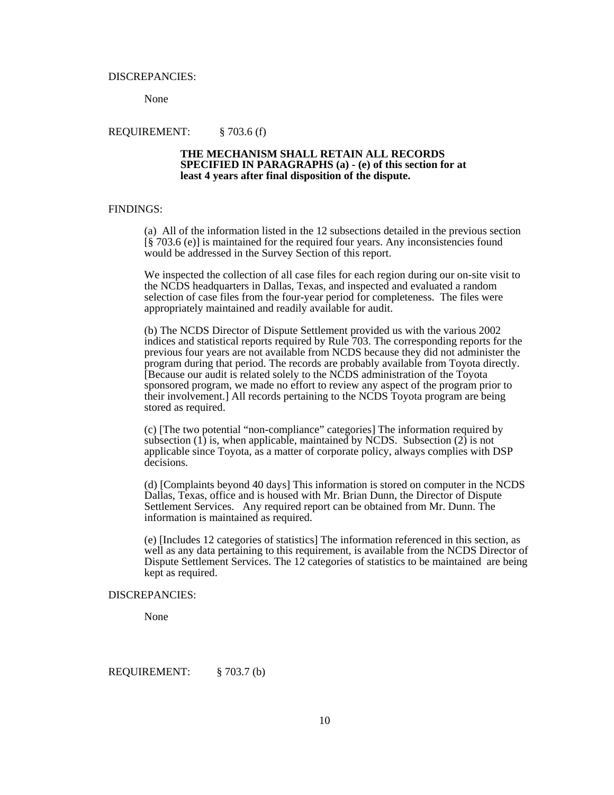#### DISCREPANCIES:

None

#### REQUIREMENT: § 703.6 (f)

#### **THE MECHANISM SHALL RETAIN ALL RECORDS SPECIFIED IN PARAGRAPHS (a) - (e) of this section for at least 4 years after final disposition of the dispute.**

#### FINDINGS:

(a) All of the information listed in the 12 subsections detailed in the previous section [§ 703.6 (e)] is maintained for the required four years. Any inconsistencies found would be addressed in the Survey Section of this report.

We inspected the collection of all case files for each region during our on-site visit to the NCDS headquarters in Dallas, Texas, and inspected and evaluated a random selection of case files from the four-year period for completeness. The files were appropriately maintained and readily available for audit.

(b) The NCDS Director of Dispute Settlement provided us with the various 2002 indices and statistical reports required by Rule 703. The corresponding reports for the previous four years are not available from NCDS because they did not administer the program during that period. The records are probably available from Toyota directly. [Because our audit is related solely to the NCDS administration of the Toyota sponsored program, we made no effort to review any aspect of the program prior to their involvement.] All records pertaining to the NCDS Toyota program are being stored as required.

(c) [The two potential "non-compliance" categories] The information required by subsection  $(1)$  is, when applicable, maintained by NCDS. Subsection  $(2)$  is not applicable since Toyota, as a matter of corporate policy, always complies with DSP decisions.

(d) [Complaints beyond 40 days] This information is stored on computer in the NCDS Dallas, Texas, office and is housed with Mr. Brian Dunn, the Director of Dispute Settlement Services. Any required report can be obtained from Mr. Dunn. The information is maintained as required.

(e) [Includes 12 categories of statistics] The information referenced in this section, as well as any data pertaining to this requirement, is available from the NCDS Director of Dispute Settlement Services. The 12 categories of statistics to be maintained are being kept as required.

#### DISCREPANCIES:

None

REQUIREMENT: § 703.7 (b)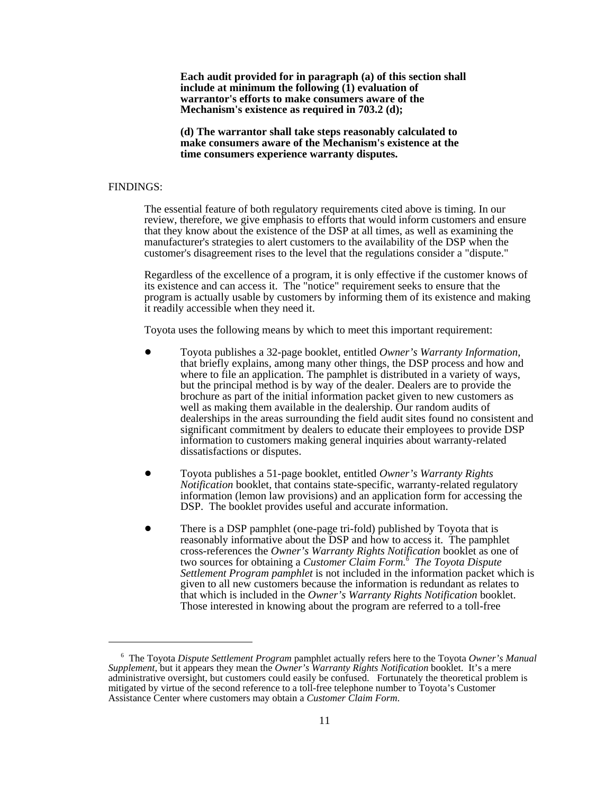**Each audit provided for in paragraph (a) of this section shall include at minimum the following (1) evaluation of warrantor's efforts to make consumers aware of the Mechanism's existence as required in 703.2 (d);**

**(d) The warrantor shall take steps reasonably calculated to make consumers aware of the Mechanism's existence at the time consumers experience warranty disputes.**

#### FINDINGS:

The essential feature of both regulatory requirements cited above is timing. In our review, therefore, we give emphasis to efforts that would inform customers and ensure that they know about the existence of the DSP at all times, as well as examining the manufacturer's strategies to alert customers to the availability of the DSP when the customer's disagreement rises to the level that the regulations consider a "dispute."

Regardless of the excellence of a program, it is only effective if the customer knows of its existence and can access it. The "notice" requirement seeks to ensure that the program is actually usable by customers by informing them of its existence and making it readily accessible when they need it.

Toyota uses the following means by which to meet this important requirement:

- ! Toyota publishes a 32-page booklet, entitled *Owner's Warranty Information*, that briefly explains, among many other things, the DSP process and how and where to file an application. The pamphlet is distributed in a variety of ways, but the principal method is by way of the dealer. Dealers are to provide the brochure as part of the initial information packet given to new customers as well as making them available in the dealership. Our random audits of dealerships in the areas surrounding the field audit sites found no consistent and significant commitment by dealers to educate their employees to provide DSP information to customers making general inquiries about warranty-related dissatisfactions or disputes.
- ! Toyota publishes a 51-page booklet, entitled *Owner's Warranty Rights Notification* booklet, that contains state-specific, warranty-related regulatory information (lemon law provisions) and an application form for accessing the DSP. The booklet provides useful and accurate information.
- ! There is a DSP pamphlet (one-page tri-fold) published by Toyota that is reasonably informative about the DSP and how to access it. The pamphlet cross-references the *Owner's Warranty Rights Notification* booklet as one of two sources for obtaining a *Customer Claim Form.6 The Toyota Dispute Settlement Program pamphlet* is not included in the information packet which is given to all new customers because the information is redundant as relates to that which is included in the *Owner's Warranty Rights Notification* booklet. Those interested in knowing about the program are referred to a toll-free

 <sup>6</sup> The Toyota *Dispute Settlement Program* pamphlet actually refers here to the Toyota *Owner's Manual Supplement*, but it appears they mean the *Owner's Warranty Rights Notification* booklet. It's a mere administrative oversight, but customers could easily be confused. Fortunately the theoretical problem is mitigated by virtue of the second reference to a toll-free telephone number to Toyota's Customer Assistance Center where customers may obtain a *Customer Claim Form*.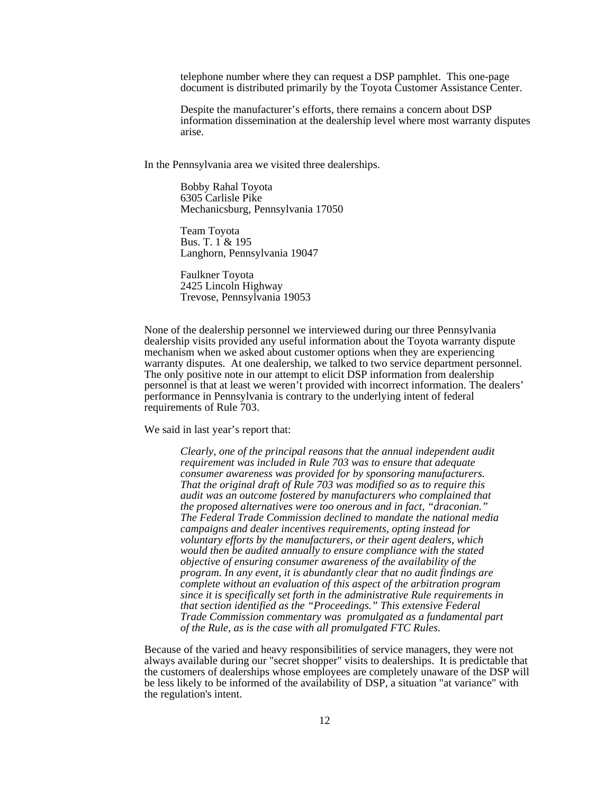telephone number where they can request a DSP pamphlet. This one-page document is distributed primarily by the Toyota Customer Assistance Center.

Despite the manufacturer's efforts, there remains a concern about DSP information dissemination at the dealership level where most warranty disputes arise.

In the Pennsylvania area we visited three dealerships.

Bobby Rahal Toyota 6305 Carlisle Pike Mechanicsburg, Pennsylvania 17050

Team Toyota Bus. T. 1 & 195 Langhorn, Pennsylvania 19047

Faulkner Toyota 2425 Lincoln Highway Trevose, Pennsylvania 19053

None of the dealership personnel we interviewed during our three Pennsylvania dealership visits provided any useful information about the Toyota warranty dispute mechanism when we asked about customer options when they are experiencing warranty disputes. At one dealership, we talked to two service department personnel. The only positive note in our attempt to elicit DSP information from dealership personnel is that at least we weren't provided with incorrect information. The dealers' performance in Pennsylvania is contrary to the underlying intent of federal requirements of Rule 703.

We said in last year's report that:

*Clearly, one of the principal reasons that the annual independent audit requirement was included in Rule 703 was to ensure that adequate consumer awareness was provided for by sponsoring manufacturers. That the original draft of Rule 703 was modified so as to require this audit was an outcome fostered by manufacturers who complained that the proposed alternatives were too onerous and in fact, "draconian." The Federal Trade Commission declined to mandate the national media campaigns and dealer incentives requirements, opting instead for voluntary efforts by the manufacturers, or their agent dealers, which would then be audited annually to ensure compliance with the stated objective of ensuring consumer awareness of the availability of the program. In any event, it is abundantly clear that no audit findings are complete without an evaluation of this aspect of the arbitration program since it is specifically set forth in the administrative Rule requirements in that section identified as the "Proceedings." This extensive Federal Trade Commission commentary was promulgated as a fundamental part of the Rule, as is the case with all promulgated FTC Rules.*

Because of the varied and heavy responsibilities of service managers, they were not always available during our "secret shopper" visits to dealerships. It is predictable that the customers of dealerships whose employees are completely unaware of the DSP will be less likely to be informed of the availability of DSP, a situation "at variance" with the regulation's intent.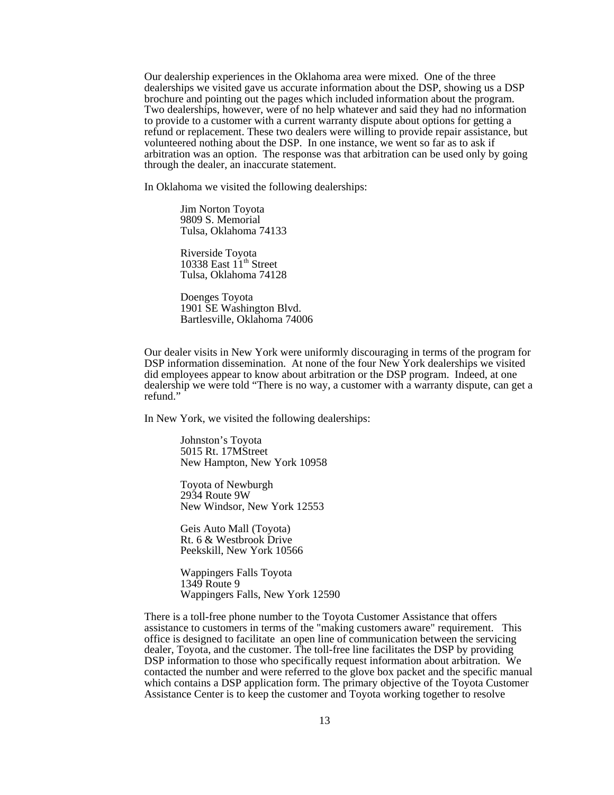Our dealership experiences in the Oklahoma area were mixed. One of the three dealerships we visited gave us accurate information about the DSP, showing us a DSP brochure and pointing out the pages which included information about the program. Two dealerships, however, were of no help whatever and said they had no information to provide to a customer with a current warranty dispute about options for getting a refund or replacement. These two dealers were willing to provide repair assistance, but volunteered nothing about the DSP. In one instance, we went so far as to ask if arbitration was an option. The response was that arbitration can be used only by going through the dealer, an inaccurate statement.

In Oklahoma we visited the following dealerships:

Jim Norton Toyota 9809 S. Memorial Tulsa, Oklahoma 74133

Riverside Toyota 10338 East  $11<sup>th</sup>$  Street Tulsa, Oklahoma 74128

Doenges Toyota 1901 SE Washington Blvd. Bartlesville, Oklahoma 74006

Our dealer visits in New York were uniformly discouraging in terms of the program for DSP information dissemination. At none of the four New York dealerships we visited did employees appear to know about arbitration or the DSP program. Indeed, at one dealership we were told "There is no way, a customer with a warranty dispute, can get a refund."

In New York, we visited the following dealerships:

Johnston's Toyota 5015 Rt. 17MStreet New Hampton, New York 10958

Toyota of Newburgh 2934 Route 9W New Windsor, New York 12553

Geis Auto Mall (Toyota) Rt. 6 & Westbrook Drive Peekskill, New York 10566

Wappingers Falls Toyota 1349 Route 9 Wappingers Falls, New York 12590

 There is a toll-free phone number to the Toyota Customer Assistance that offers assistance to customers in terms of the "making customers aware" requirement. This office is designed to facilitate an open line of communication between the servicing dealer, Toyota, and the customer. The toll-free line facilitates the DSP by providing DSP information to those who specifically request information about arbitration. We contacted the number and were referred to the glove box packet and the specific manual which contains a DSP application form. The primary objective of the Toyota Customer Assistance Center is to keep the customer and Toyota working together to resolve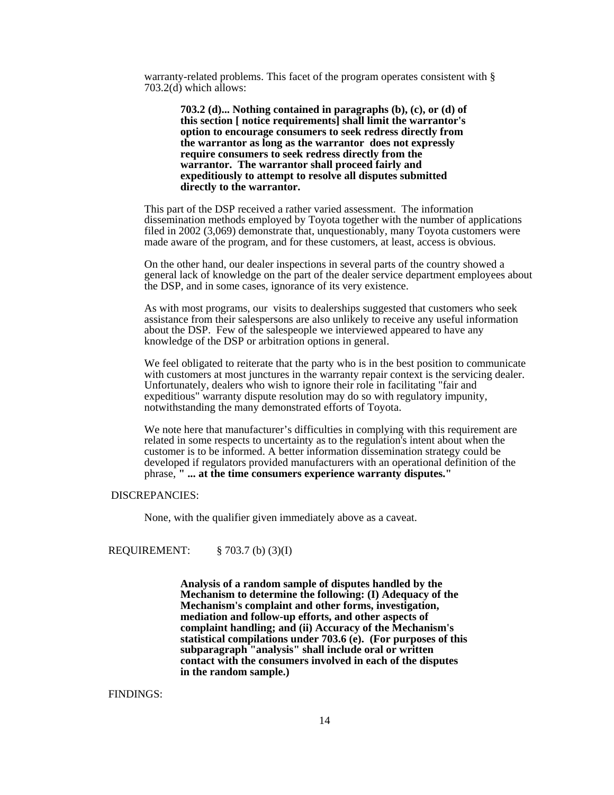warranty-related problems. This facet of the program operates consistent with § 703.2(d) which allows:

> **703.2 (d)... Nothing contained in paragraphs (b), (c), or (d) of this section [ notice requirements] shall limit the warrantor's option to encourage consumers to seek redress directly from the warrantor as long as the warrantor does not expressly require consumers to seek redress directly from the warrantor. The warrantor shall proceed fairly and expeditiously to attempt to resolve all disputes submitted directly to the warrantor.**

This part of the DSP received a rather varied assessment. The information dissemination methods employed by Toyota together with the number of applications filed in 2002 (3,069) demonstrate that, unquestionably, many Toyota customers were made aware of the program, and for these customers, at least, access is obvious.

On the other hand, our dealer inspections in several parts of the country showed a general lack of knowledge on the part of the dealer service department employees about the DSP, and in some cases, ignorance of its very existence.

As with most programs, our visits to dealerships suggested that customers who seek assistance from their salespersons are also unlikely to receive any useful information about the DSP. Few of the salespeople we interviewed appeared to have any knowledge of the DSP or arbitration options in general.

We feel obligated to reiterate that the party who is in the best position to communicate with customers at most junctures in the warranty repair context is the servicing dealer. Unfortunately, dealers who wish to ignore their role in facilitating "fair and expeditious" warranty dispute resolution may do so with regulatory impunity, notwithstanding the many demonstrated efforts of Toyota.

We note here that manufacturer's difficulties in complying with this requirement are related in some respects to uncertainty as to the regulation's intent about when the customer is to be informed. A better information dissemination strategy could be developed if regulators provided manufacturers with an operational definition of the phrase, **" ... at the time consumers experience warranty disputes."**

#### DISCREPANCIES:

None, with the qualifier given immediately above as a caveat.

REQUIREMENT: § 703.7 (b) (3)(I)

**Analysis of a random sample of disputes handled by the Mechanism to determine the following: (I) Adequacy of the Mechanism's complaint and other forms, investigation, mediation and follow-up efforts, and other aspects of complaint handling; and (ii) Accuracy of the Mechanism's statistical compilations under 703.6 (e). (For purposes of this subparagraph "analysis" shall include oral or written contact with the consumers involved in each of the disputes in the random sample.)**

#### FINDINGS: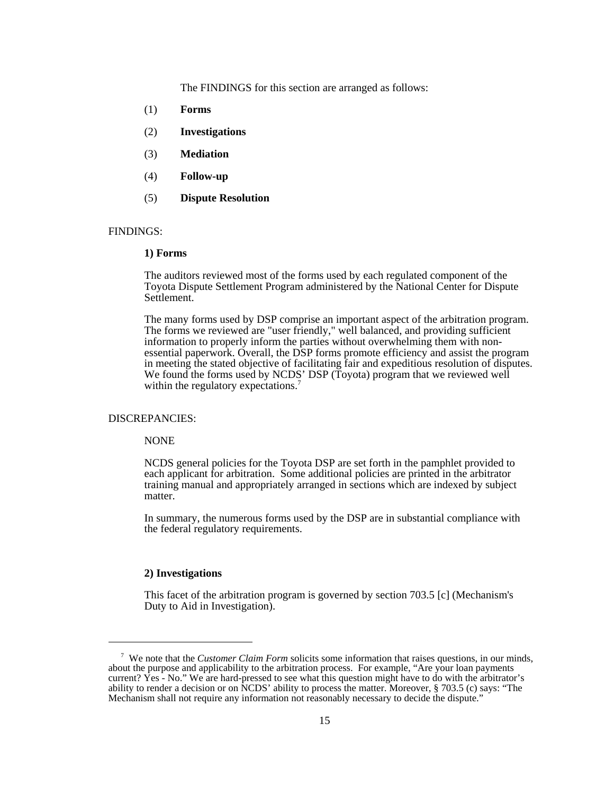The FINDINGS for this section are arranged as follows:

- (1) **Forms**
- (2) **Investigations**
- (3) **Mediation**
- (4) **Follow-up**
- (5) **Dispute Resolution**

#### FINDINGS:

#### **1) Forms**

The auditors reviewed most of the forms used by each regulated component of the Toyota Dispute Settlement Program administered by the National Center for Dispute Settlement.

The many forms used by DSP comprise an important aspect of the arbitration program. The forms we reviewed are "user friendly," well balanced, and providing sufficient information to properly inform the parties without overwhelming them with nonessential paperwork. Overall, the DSP forms promote efficiency and assist the program in meeting the stated objective of facilitating fair and expeditious resolution of disputes. We found the forms used by NCDS' DSP (Toyota) program that we reviewed well within the regulatory expectations.<sup>7</sup>

#### DISCREPANCIES:

NONE

NCDS general policies for the Toyota DSP are set forth in the pamphlet provided to each applicant for arbitration. Some additional policies are printed in the arbitrator training manual and appropriately arranged in sections which are indexed by subject matter.

In summary, the numerous forms used by the DSP are in substantial compliance with the federal regulatory requirements.

#### **2) Investigations**

This facet of the arbitration program is governed by section 703.5 [c] (Mechanism's Duty to Aid in Investigation).

 <sup>7</sup> We note that the *Customer Claim Form* solicits some information that raises questions, in our minds, about the purpose and applicability to the arbitration process. For example, "Are your loan payments current? Yes - No." We are hard-pressed to see what this question might have to do with the arbitrator's ability to render a decision or on NCDS' ability to process the matter. Moreover, § 703.5 (c) says: "The Mechanism shall not require any information not reasonably necessary to decide the dispute."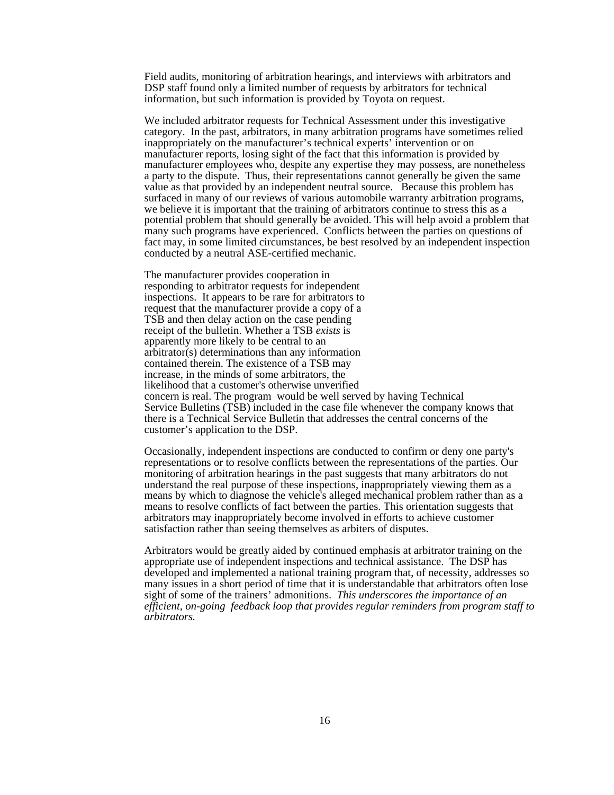Field audits, monitoring of arbitration hearings, and interviews with arbitrators and DSP staff found only a limited number of requests by arbitrators for technical information, but such information is provided by Toyota on request.

We included arbitrator requests for Technical Assessment under this investigative category. In the past, arbitrators, in many arbitration programs have sometimes relied inappropriately on the manufacturer's technical experts' intervention or on manufacturer reports, losing sight of the fact that this information is provided by manufacturer employees who, despite any expertise they may possess, are nonetheless a party to the dispute. Thus, their representations cannot generally be given the same value as that provided by an independent neutral source. Because this problem has surfaced in many of our reviews of various automobile warranty arbitration programs, we believe it is important that the training of arbitrators continue to stress this as a potential problem that should generally be avoided. This will help avoid a problem that many such programs have experienced. Conflicts between the parties on questions of fact may, in some limited circumstances, be best resolved by an independent inspection conducted by a neutral ASE-certified mechanic.

The manufacturer provides cooperation in responding to arbitrator requests for independent inspections. It appears to be rare for arbitrators to request that the manufacturer provide a copy of a TSB and then delay action on the case pending receipt of the bulletin. Whether a TSB *exists* is apparently more likely to be central to an arbitrator(s) determinations than any information contained therein. The existence of a TSB may increase, in the minds of some arbitrators, the likelihood that a customer's otherwise unverified concern is real. The program would be well served by having Technical Service Bulletins (TSB) included in the case file whenever the company knows that there is a Technical Service Bulletin that addresses the central concerns of the customer's application to the DSP.

Occasionally, independent inspections are conducted to confirm or deny one party's representations or to resolve conflicts between the representations of the parties. Our monitoring of arbitration hearings in the past suggests that many arbitrators do not understand the real purpose of these inspections, inappropriately viewing them as a means by which to diagnose the vehicle's alleged mechanical problem rather than as a means to resolve conflicts of fact between the parties. This orientation suggests that arbitrators may inappropriately become involved in efforts to achieve customer satisfaction rather than seeing themselves as arbiters of disputes.

Arbitrators would be greatly aided by continued emphasis at arbitrator training on the appropriate use of independent inspections and technical assistance. The DSP has developed and implemented a national training program that, of necessity, addresses so many issues in a short period of time that it is understandable that arbitrators often lose sight of some of the trainers' admonitions. *This underscores the importance of an efficient, on-going feedback loop that provides regular reminders from program staff to arbitrators.*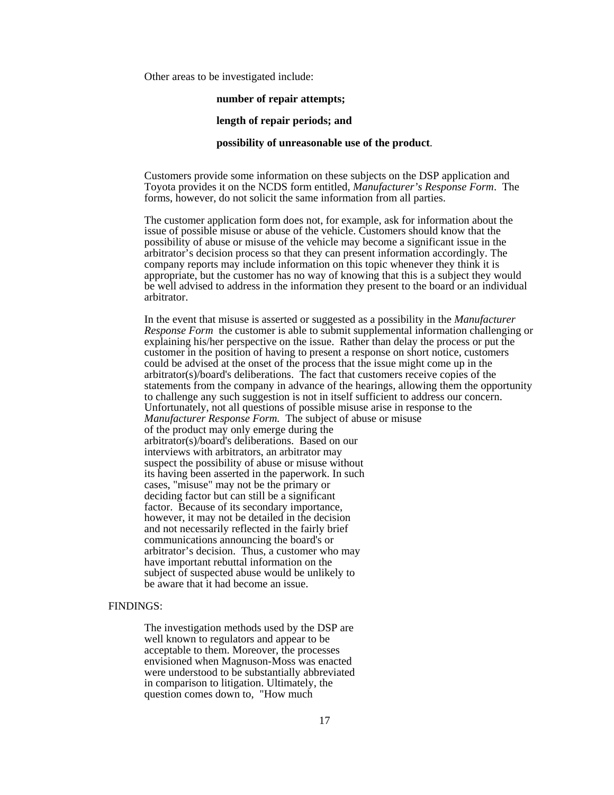Other areas to be investigated include:

#### **number of repair attempts;**

#### **length of repair periods; and**

#### **possibility of unreasonable use of the product**.

Customers provide some information on these subjects on the DSP application and Toyota provides it on the NCDS form entitled, *Manufacturer's Response Form*. The forms, however, do not solicit the same information from all parties.

The customer application form does not, for example, ask for information about the issue of possible misuse or abuse of the vehicle. Customers should know that the possibility of abuse or misuse of the vehicle may become a significant issue in the arbitrator's decision process so that they can present information accordingly. The company reports may include information on this topic whenever they think it is appropriate, but the customer has no way of knowing that this is a subject they would be well advised to address in the information they present to the board or an individual arbitrator.

 In the event that misuse is asserted or suggested as a possibility in the *Manufacturer Response Form* the customer is able to submit supplemental information challenging or explaining his/her perspective on the issue. Rather than delay the process or put the customer in the position of having to present a response on short notice, customers could be advised at the onset of the process that the issue might come up in the arbitrator(s)/board's deliberations. The fact that customers receive copies of the statements from the company in advance of the hearings, allowing them the opportunity to challenge any such suggestion is not in itself sufficient to address our concern. Unfortunately, not all questions of possible misuse arise in response to the *Manufacturer Response Form.* The subject of abuse or misuse of the product may only emerge during the arbitrator(s)/board's deliberations. Based on our interviews with arbitrators, an arbitrator may suspect the possibility of abuse or misuse without its having been asserted in the paperwork. In such cases, "misuse" may not be the primary or deciding factor but can still be a significant factor. Because of its secondary importance, however, it may not be detailed in the decision and not necessarily reflected in the fairly brief communications announcing the board's or arbitrator's decision. Thus, a customer who may have important rebuttal information on the subject of suspected abuse would be unlikely to be aware that it had become an issue.

#### FINDINGS:

The investigation methods used by the DSP are well known to regulators and appear to be acceptable to them. Moreover, the processes envisioned when Magnuson-Moss was enacted were understood to be substantially abbreviated in comparison to litigation. Ultimately, the question comes down to, "How much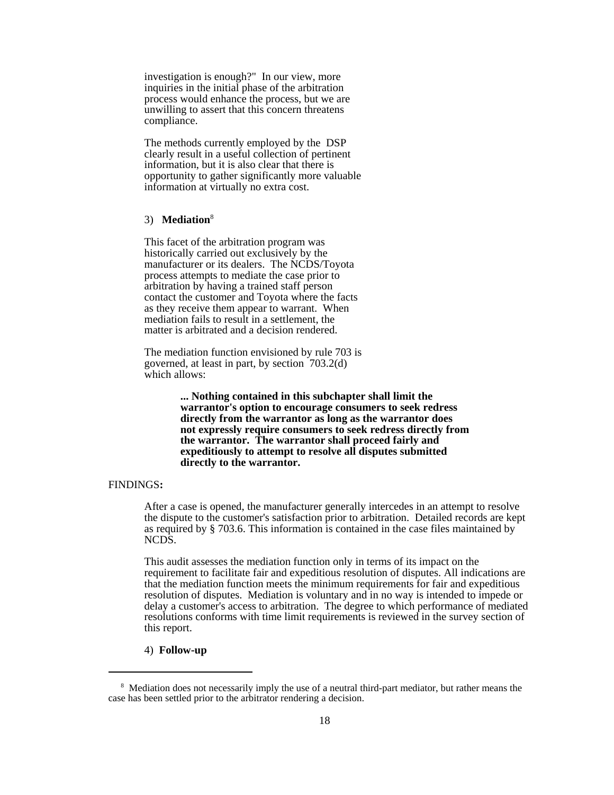investigation is enough?" In our view, more inquiries in the initial phase of the arbitration process would enhance the process, but we are unwilling to assert that this concern threatens compliance.

The methods currently employed by the DSP clearly result in a useful collection of pertinent information, but it is also clear that there is opportunity to gather significantly more valuable information at virtually no extra cost.

#### 3) **Mediation**<sup>8</sup>

This facet of the arbitration program was historically carried out exclusively by the manufacturer or its dealers. The NCDS/Toyota process attempts to mediate the case prior to arbitration by having a trained staff person contact the customer and Toyota where the facts as they receive them appear to warrant. When mediation fails to result in a settlement, the matter is arbitrated and a decision rendered.

The mediation function envisioned by rule 703 is governed, at least in part, by section 703.2(d) which allows:

> **... Nothing contained in this subchapter shall limit the warrantor's option to encourage consumers to seek redress directly from the warrantor as long as the warrantor does not expressly require consumers to seek redress directly from the warrantor. The warrantor shall proceed fairly and expeditiously to attempt to resolve all disputes submitted directly to the warrantor.**

#### FINDINGS**:**

After a case is opened, the manufacturer generally intercedes in an attempt to resolve the dispute to the customer's satisfaction prior to arbitration. Detailed records are kept as required by § 703.6. This information is contained in the case files maintained by NCDS.

 This audit assesses the mediation function only in terms of its impact on the requirement to facilitate fair and expeditious resolution of disputes. All indications are that the mediation function meets the minimum requirements for fair and expeditious resolution of disputes. Mediation is voluntary and in no way is intended to impede or delay a customer's access to arbitration. The degree to which performance of mediated resolutions conforms with time limit requirements is reviewed in the survey section of this report.

#### 4) **Follow-up**

<sup>&</sup>lt;sup>8</sup> Mediation does not necessarily imply the use of a neutral third-part mediator, but rather means the case has been settled prior to the arbitrator rendering a decision.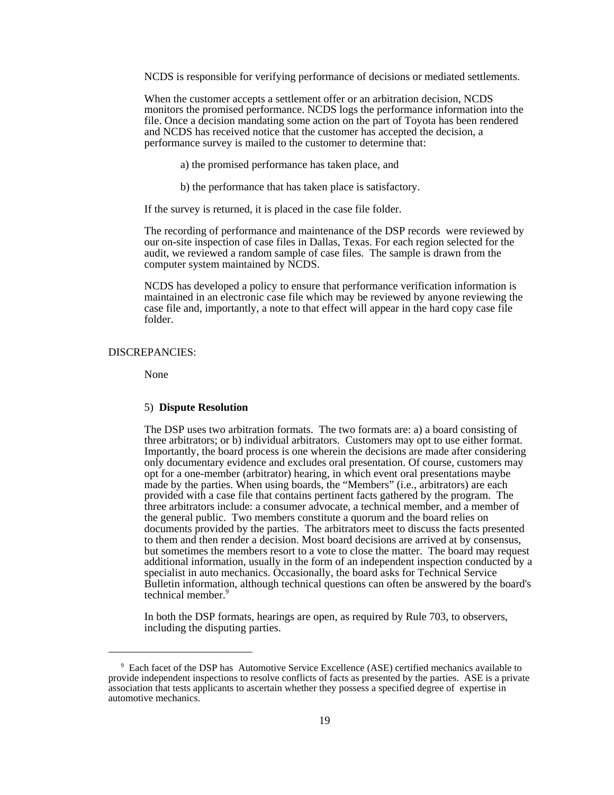NCDS is responsible for verifying performance of decisions or mediated settlements.

When the customer accepts a settlement offer or an arbitration decision, NCDS monitors the promised performance. NCDS logs the performance information into the file. Once a decision mandating some action on the part of Toyota has been rendered and NCDS has received notice that the customer has accepted the decision, a performance survey is mailed to the customer to determine that:

a) the promised performance has taken place, and

b) the performance that has taken place is satisfactory.

If the survey is returned, it is placed in the case file folder.

The recording of performance and maintenance of the DSP records were reviewed by our on-site inspection of case files in Dallas, Texas. For each region selected for the audit, we reviewed a random sample of case files. The sample is drawn from the computer system maintained by NCDS.

NCDS has developed a policy to ensure that performance verification information is maintained in an electronic case file which may be reviewed by anyone reviewing the case file and, importantly, a note to that effect will appear in the hard copy case file folder.

#### DISCREPANCIES:

None

#### 5) **Dispute Resolution**

The DSP uses two arbitration formats. The two formats are: a) a board consisting of three arbitrators; or b) individual arbitrators. Customers may opt to use either format. Importantly, the board process is one wherein the decisions are made after considering only documentary evidence and excludes oral presentation. Of course, customers may opt for a one-member (arbitrator) hearing, in which event oral presentations maybe made by the parties. When using boards, the "Members" (i.e., arbitrators) are each provided with a case file that contains pertinent facts gathered by the program. The three arbitrators include: a consumer advocate, a technical member, and a member of the general public. Two members constitute a quorum and the board relies on documents provided by the parties.The arbitrators meet to discuss the facts presented to them and then render a decision. Most board decisions are arrived at by consensus, but sometimes the members resort to a vote to close the matter. The board may request additional information, usually in the form of an independent inspection conducted by a specialist in auto mechanics. Occasionally, the board asks for Technical Service Bulletin information, although technical questions can often be answered by the board's technical member.<sup>9</sup>

In both the DSP formats, hearings are open, as required by Rule 703, to observers, including the disputing parties.

<sup>&</sup>lt;sup>9</sup> Each facet of the DSP has Automotive Service Excellence (ASE) certified mechanics available to provide independent inspections to resolve conflicts of facts as presented by the parties. ASE is a private association that tests applicants to ascertain whether they possess a specified degree of expertise in automotive mechanics.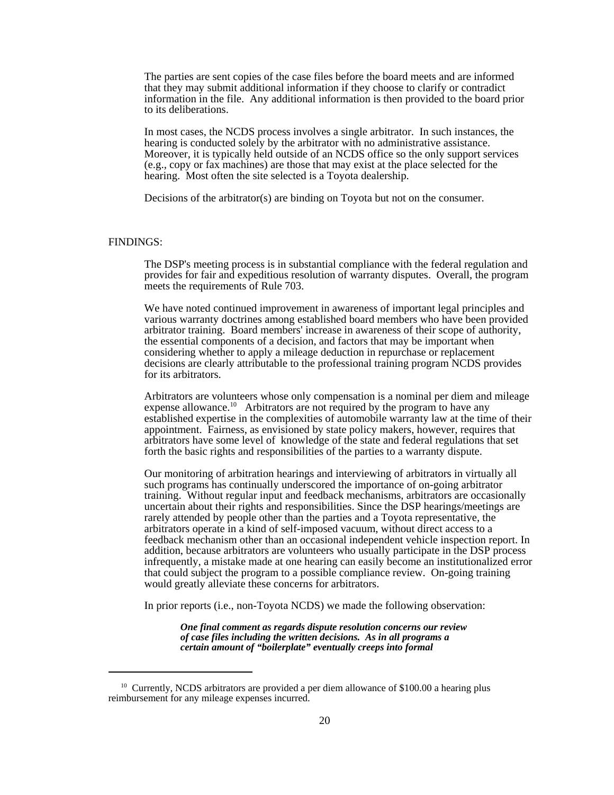The parties are sent copies of the case files before the board meets and are informed that they may submit additional information if they choose to clarify or contradict information in the file. Any additional information is then provided to the board prior to its deliberations.

In most cases, the NCDS process involves a single arbitrator. In such instances, the hearing is conducted solely by the arbitrator with no administrative assistance. Moreover, it is typically held outside of an NCDS office so the only support services (e.g., copy or fax machines) are those that may exist at the place selected for the hearing. Most often the site selected is a Toyota dealership.

Decisions of the arbitrator(s) are binding on Toyota but not on the consumer.

#### FINDINGS:

The DSP's meeting process is in substantial compliance with the federal regulation and provides for fair and expeditious resolution of warranty disputes. Overall, the program meets the requirements of Rule 703.

We have noted continued improvement in awareness of important legal principles and various warranty doctrines among established board members who have been provided arbitrator training. Board members' increase in awareness of their scope of authority, the essential components of a decision, and factors that may be important when considering whether to apply a mileage deduction in repurchase or replacement decisions are clearly attributable to the professional training program NCDS provides for its arbitrators.

Arbitrators are volunteers whose only compensation is a nominal per diem and mileage expense allowance.<sup>10</sup> Arbitrators are not required by the program to have any established expertise in the complexities of automobile warranty law at the time of their appointment. Fairness, as envisioned by state policy makers, however, requires that arbitrators have some level of knowledge of the state and federal regulations that set forth the basic rights and responsibilities of the parties to a warranty dispute.

Our monitoring of arbitration hearings and interviewing of arbitrators in virtually all such programs has continually underscored the importance of on-going arbitrator training. Without regular input and feedback mechanisms, arbitrators are occasionally uncertain about their rights and responsibilities. Since the DSP hearings/meetings are rarely attended by people other than the parties and a Toyota representative, the arbitrators operate in a kind of self-imposed vacuum, without direct access to a feedback mechanism other than an occasional independent vehicle inspection report. In addition, because arbitrators are volunteers who usually participate in the DSP process infrequently, a mistake made at one hearing can easily become an institutionalized error that could subject the program to a possible compliance review. On-going training would greatly alleviate these concerns for arbitrators.

In prior reports (i.e., non-Toyota NCDS) we made the following observation:

*One final comment as regards dispute resolution concerns our review of case files including the written decisions. As in all programs a certain amount of "boilerplate" eventually creeps into formal*

 $10$  Currently, NCDS arbitrators are provided a per diem allowance of \$100.00 a hearing plus reimbursement for any mileage expenses incurred.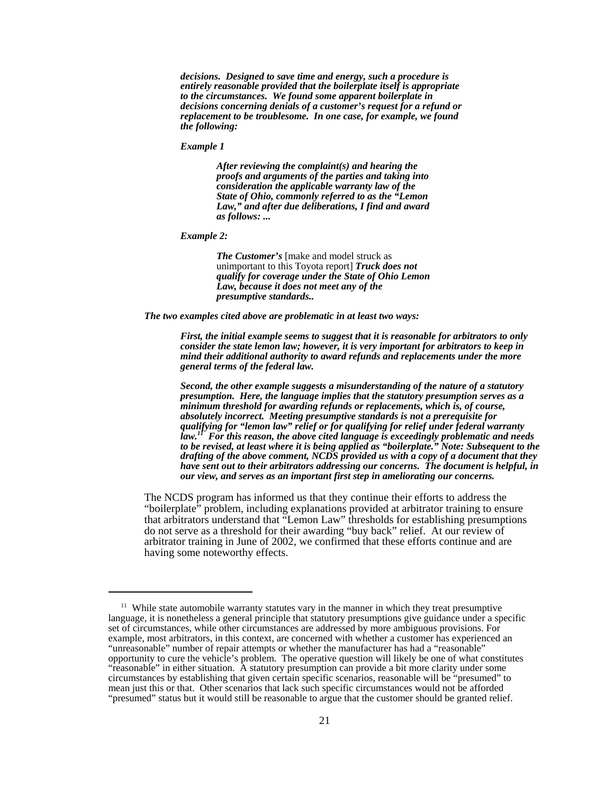*decisions. Designed to save time and energy, such a procedure is entirely reasonable provided that the boilerplate itself is appropriate to the circumstances. We found some apparent boilerplate in decisions concerning denials of a customer's request for a refund or replacement to be troublesome. In one case, for example, we found the following:*

*Example 1*

*After reviewing the complaint(s) and hearing the proofs and arguments of the parties and taking into consideration the applicable warranty law of the State of Ohio, commonly referred to as the "Lemon Law," and after due deliberations, I find and award as follows: ...*

*Example 2:*

*The Customer's* [make and model struck as unimportant to this Toyota report] *Truck does not qualify for coverage under the State of Ohio Lemon Law, because it does not meet any of the presumptive standards..*

*The two examples cited above are problematic in at least two ways:*

*First, the initial example seems to suggest that it is reasonable for arbitrators to only consider the state lemon law; however, it is very important for arbitrators to keep in mind their additional authority to award refunds and replacements under the more general terms of the federal law.* 

*Second, the other example suggests a misunderstanding of the nature of a statutory presumption. Here, the language implies that the statutory presumption serves as a minimum threshold for awarding refunds or replacements, which is, of course, absolutely incorrect. Meeting presumptive standards is not a prerequisite for qualifying for "lemon law" relief or for qualifying for relief under federal warranty law.11 For this reason, the above cited language is exceedingly problematic and needs to be revised, at least where it is being applied as "boilerplate." Note: Subsequent to the drafting of the above comment, NCDS provided us with a copy of a document that they have sent out to their arbitrators addressing our concerns. The document is helpful, in our view, and serves as an important first step in ameliorating our concerns.*

The NCDS program has informed us that they continue their efforts to address the "boilerplate" problem, including explanations provided at arbitrator training to ensure that arbitrators understand that "Lemon Law" thresholds for establishing presumptions do not serve as a threshold for their awarding "buy back" relief. At our review of arbitrator training in June of 2002, we confirmed that these efforts continue and are having some noteworthy effects.

 $11$  While state automobile warranty statutes vary in the manner in which they treat presumptive language, it is nonetheless a general principle that statutory presumptions give guidance under a specific set of circumstances, while other circumstances are addressed by more ambiguous provisions. For example, most arbitrators, in this context, are concerned with whether a customer has experienced an "unreasonable" number of repair attempts or whether the manufacturer has had a "reasonable" opportunity to cure the vehicle's problem. The operative question will likely be one of what constitutes "reasonable" in either situation. A statutory presumption can provide a bit more clarity under some circumstances by establishing that given certain specific scenarios, reasonable will be "presumed" to mean just this or that. Other scenarios that lack such specific circumstances would not be afforded "presumed" status but it would still be reasonable to argue that the customer should be granted relief.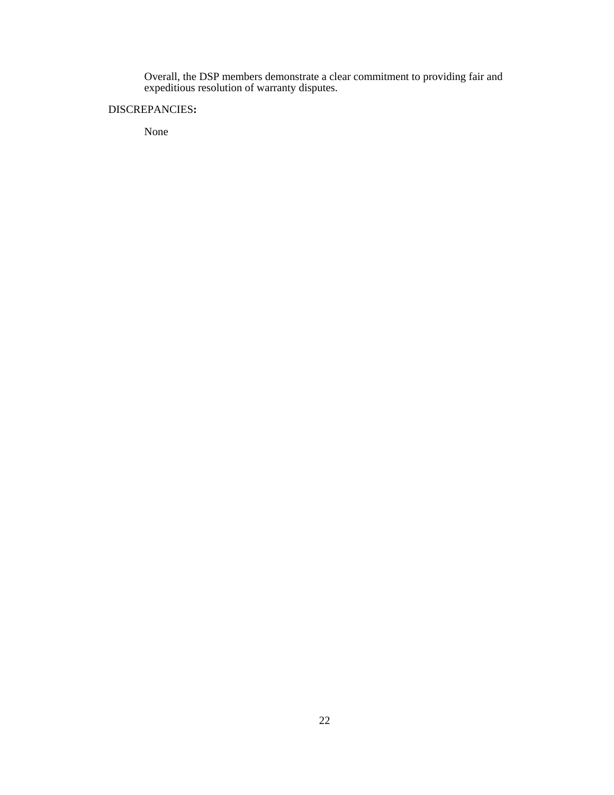Overall, the DSP members demonstrate a clear commitment to providing fair and expeditious resolution of warranty disputes.

#### DISCREPANCIES**:**

None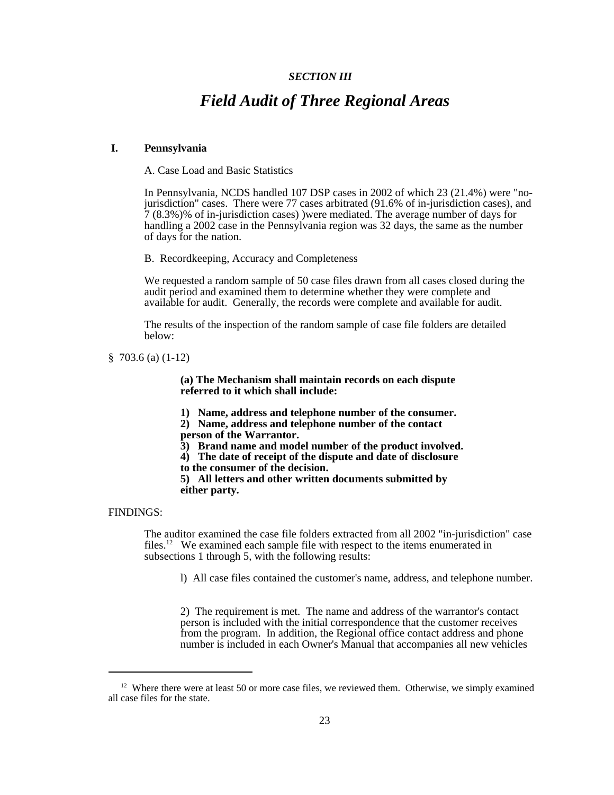#### *SECTION III*

## *Field Audit of Three Regional Areas*

#### **I. Pennsylvania**

A. Case Load and Basic Statistics

In Pennsylvania, NCDS handled 107 DSP cases in 2002 of which 23 (21.4%) were "nojurisdiction" cases. There were 77 cases arbitrated (91.6% of in-jurisdiction cases), and 7 (8.3%)% of in-jurisdiction cases) )were mediated. The average number of days for handling a 2002 case in the Pennsylvania region was 32 days, the same as the number of days for the nation.

B. Recordkeeping, Accuracy and Completeness

We requested a random sample of 50 case files drawn from all cases closed during the audit period and examined them to determine whether they were complete and available for audit. Generally, the records were complete and available for audit.

The results of the inspection of the random sample of case file folders are detailed below:

§ 703.6 (a) (1-12)

**(a) The Mechanism shall maintain records on each dispute referred to it which shall include:**

**1) Name, address and telephone number of the consumer.**

**2) Name, address and telephone number of the contact person of the Warrantor.**

- **3) Brand name and model number of the product involved.**
- **4) The date of receipt of the dispute and date of disclosure**
- **to the consumer of the decision.**

**5) All letters and other written documents submitted by either party.**

#### FINDINGS:

The auditor examined the case file folders extracted from all 2002 "in-jurisdiction" case files.12 We examined each sample file with respect to the items enumerated in subsections 1 through 5, with the following results:

l) All case files contained the customer's name, address, and telephone number.

2) The requirement is met. The name and address of the warrantor's contact person is included with the initial correspondence that the customer receives from the program. In addition, the Regional office contact address and phone number is included in each Owner's Manual that accompanies all new vehicles

 $12$  Where there were at least 50 or more case files, we reviewed them. Otherwise, we simply examined all case files for the state.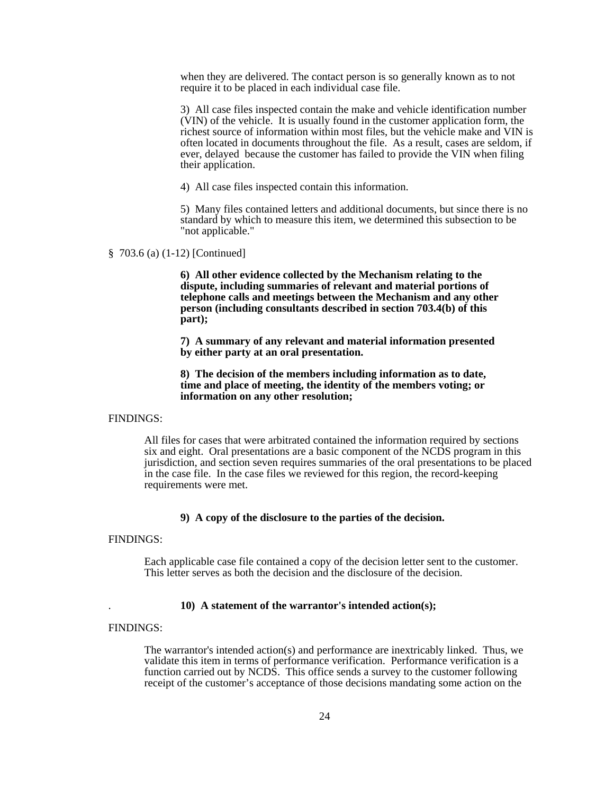when they are delivered. The contact person is so generally known as to not require it to be placed in each individual case file.

3) All case files inspected contain the make and vehicle identification number (VIN) of the vehicle. It is usually found in the customer application form, the richest source of information within most files, but the vehicle make and VIN is often located in documents throughout the file. As a result, cases are seldom, if ever, delayed because the customer has failed to provide the VIN when filing their application.

4) All case files inspected contain this information.

5) Many files contained letters and additional documents, but since there is no standard by which to measure this item, we determined this subsection to be "not applicable."

#### § 703.6 (a) (1-12) [Continued]

**6) All other evidence collected by the Mechanism relating to the dispute, including summaries of relevant and material portions of telephone calls and meetings between the Mechanism and any other person (including consultants described in section 703.4(b) of this part);**

**7) A summary of any relevant and material information presented by either party at an oral presentation.**

**8) The decision of the members including information as to date, time and place of meeting, the identity of the members voting; or information on any other resolution;**

#### FINDINGS:

All files for cases that were arbitrated contained the information required by sections six and eight. Oral presentations are a basic component of the NCDS program in this jurisdiction, and section seven requires summaries of the oral presentations to be placed in the case file. In the case files we reviewed for this region, the record-keeping requirements were met.

#### **9) A copy of the disclosure to the parties of the decision.**

#### FINDINGS:

Each applicable case file contained a copy of the decision letter sent to the customer. This letter serves as both the decision and the disclosure of the decision.

#### . **10) A statement of the warrantor's intended action(s);**

#### FINDINGS:

The warrantor's intended action(s) and performance are inextricably linked. Thus, we validate this item in terms of performance verification. Performance verification is a function carried out by NCDS. This office sends a survey to the customer following receipt of the customer's acceptance of those decisions mandating some action on the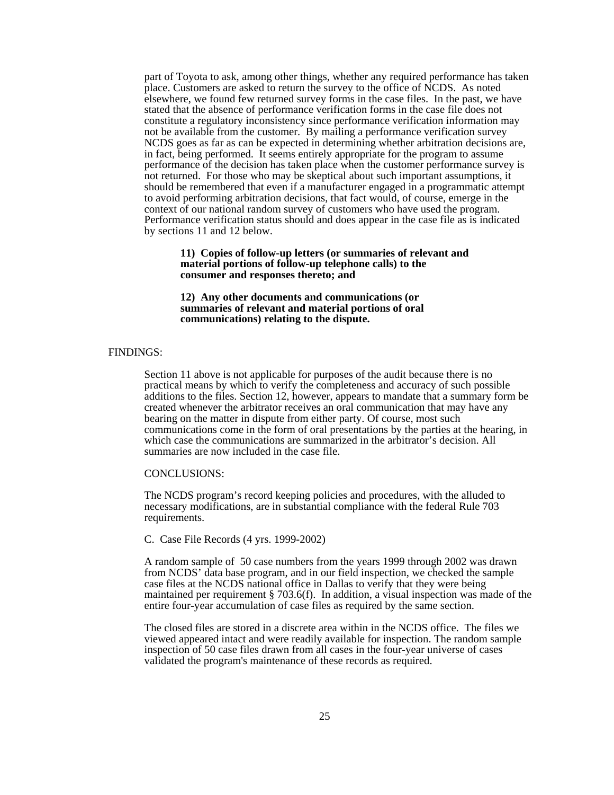part of Toyota to ask, among other things, whether any required performance has taken place. Customers are asked to return the survey to the office of NCDS. As noted elsewhere, we found few returned survey forms in the case files. In the past, we have stated that the absence of performance verification forms in the case file does not constitute a regulatory inconsistency since performance verification information may not be available from the customer. By mailing a performance verification survey NCDS goes as far as can be expected in determining whether arbitration decisions are, in fact, being performed. It seems entirely appropriate for the program to assume performance of the decision has taken place when the customer performance survey is not returned. For those who may be skeptical about such important assumptions, it should be remembered that even if a manufacturer engaged in a programmatic attempt to avoid performing arbitration decisions, that fact would, of course, emerge in the context of our national random survey of customers who have used the program. Performance verification status should and does appear in the case file as is indicated by sections 11 and 12 below.

**11) Copies of follow-up letters (or summaries of relevant and material portions of follow-up telephone calls) to the consumer and responses thereto; and**

**12) Any other documents and communications (or summaries of relevant and material portions of oral communications) relating to the dispute.**

#### FINDINGS:

Section 11 above is not applicable for purposes of the audit because there is no practical means by which to verify the completeness and accuracy of such possible additions to the files. Section 12, however, appears to mandate that a summary form be created whenever the arbitrator receives an oral communication that may have any bearing on the matter in dispute from either party. Of course, most such communications come in the form of oral presentations by the parties at the hearing, in which case the communications are summarized in the arbitrator's decision. All summaries are now included in the case file.

#### CONCLUSIONS:

The NCDS program's record keeping policies and procedures, with the alluded to necessary modifications, are in substantial compliance with the federal Rule 703 requirements.

#### C. Case File Records (4 yrs. 1999-2002)

A random sample of 50 case numbers from the years 1999 through 2002 was drawn from NCDS' data base program, and in our field inspection, we checked the sample case files at the NCDS national office in Dallas to verify that they were being maintained per requirement § 703.6(f). In addition, a visual inspection was made of the entire four-year accumulation of case files as required by the same section.

The closed files are stored in a discrete area within in the NCDS office. The files we viewed appeared intact and were readily available for inspection. The random sample inspection of 50 case files drawn from all cases in the four-year universe of cases validated the program's maintenance of these records as required.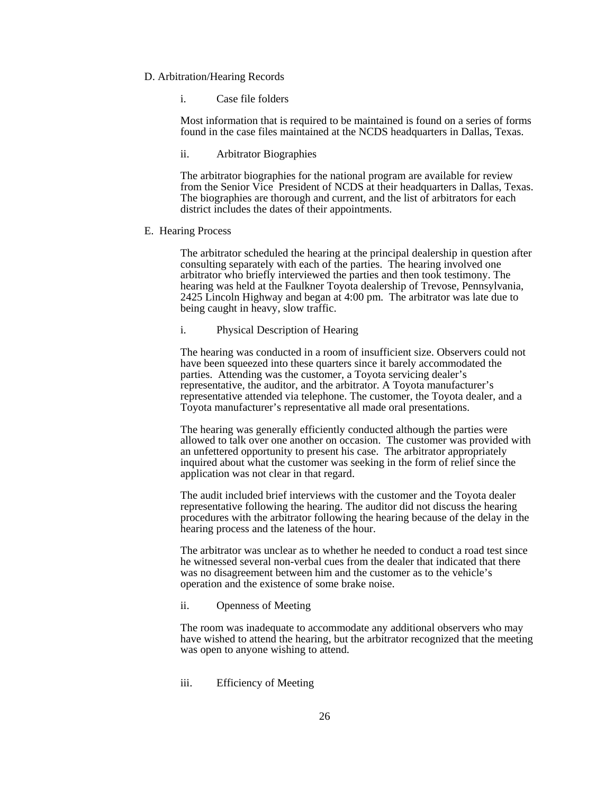#### D. Arbitration/Hearing Records

i. Case file folders

Most information that is required to be maintained is found on a series of forms found in the case files maintained at the NCDS headquarters in Dallas, Texas.

ii. Arbitrator Biographies

The arbitrator biographies for the national program are available for review from the Senior Vice President of NCDS at their headquarters in Dallas, Texas. The biographies are thorough and current, and the list of arbitrators for each district includes the dates of their appointments.

E. Hearing Process

The arbitrator scheduled the hearing at the principal dealership in question after consulting separately with each of the parties. The hearing involved one arbitrator who briefly interviewed the parties and then took testimony. The hearing was held at the Faulkner Toyota dealership of Trevose, Pennsylvania, 2425 Lincoln Highway and began at 4:00 pm. The arbitrator was late due to being caught in heavy, slow traffic.

i. Physical Description of Hearing

The hearing was conducted in a room of insufficient size. Observers could not have been squeezed into these quarters since it barely accommodated the parties. Attending was the customer, a Toyota servicing dealer's representative, the auditor, and the arbitrator. A Toyota manufacturer's representative attended via telephone. The customer, the Toyota dealer, and a Toyota manufacturer's representative all made oral presentations.

The hearing was generally efficiently conducted although the parties were allowed to talk over one another on occasion. The customer was provided with an unfettered opportunity to present his case. The arbitrator appropriately inquired about what the customer was seeking in the form of relief since the application was not clear in that regard.

The audit included brief interviews with the customer and the Toyota dealer representative following the hearing. The auditor did not discuss the hearing procedures with the arbitrator following the hearing because of the delay in the hearing process and the lateness of the hour.

The arbitrator was unclear as to whether he needed to conduct a road test since he witnessed several non-verbal cues from the dealer that indicated that there was no disagreement between him and the customer as to the vehicle's operation and the existence of some brake noise.

ii. Openness of Meeting

The room was inadequate to accommodate any additional observers who may have wished to attend the hearing, but the arbitrator recognized that the meeting was open to anyone wishing to attend.

iii. Efficiency of Meeting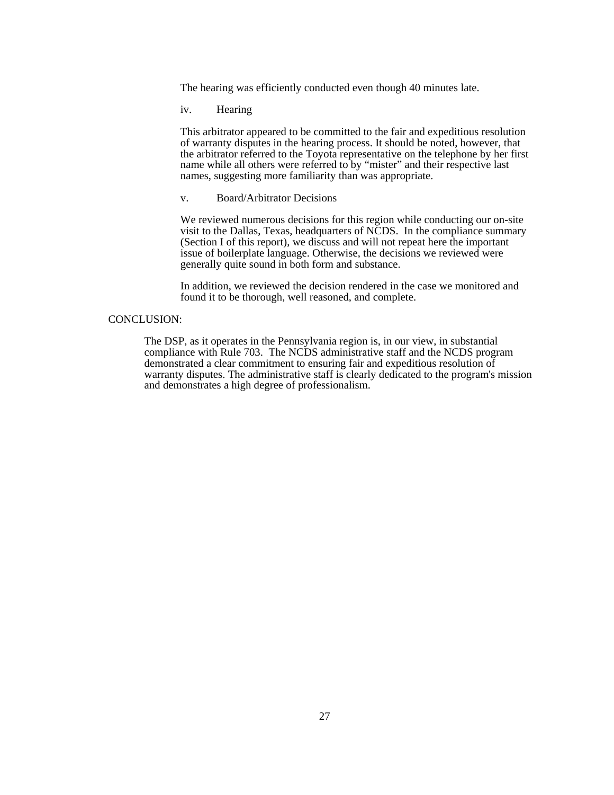The hearing was efficiently conducted even though 40 minutes late.

iv. Hearing

This arbitrator appeared to be committed to the fair and expeditious resolution of warranty disputes in the hearing process. It should be noted, however, that the arbitrator referred to the Toyota representative on the telephone by her first name while all others were referred to by "mister" and their respective last names, suggesting more familiarity than was appropriate.

v. Board/Arbitrator Decisions

We reviewed numerous decisions for this region while conducting our on-site visit to the Dallas, Texas, headquarters of NCDS. In the compliance summary (Section I of this report), we discuss and will not repeat here the important issue of boilerplate language. Otherwise, the decisions we reviewed were generally quite sound in both form and substance.

In addition, we reviewed the decision rendered in the case we monitored and found it to be thorough, well reasoned, and complete.

#### CONCLUSION:

The DSP, as it operates in the Pennsylvania region is, in our view, in substantial compliance with Rule 703. The NCDS administrative staff and the NCDS program demonstrated a clear commitment to ensuring fair and expeditious resolution of warranty disputes. The administrative staff is clearly dedicated to the program's mission and demonstrates a high degree of professionalism.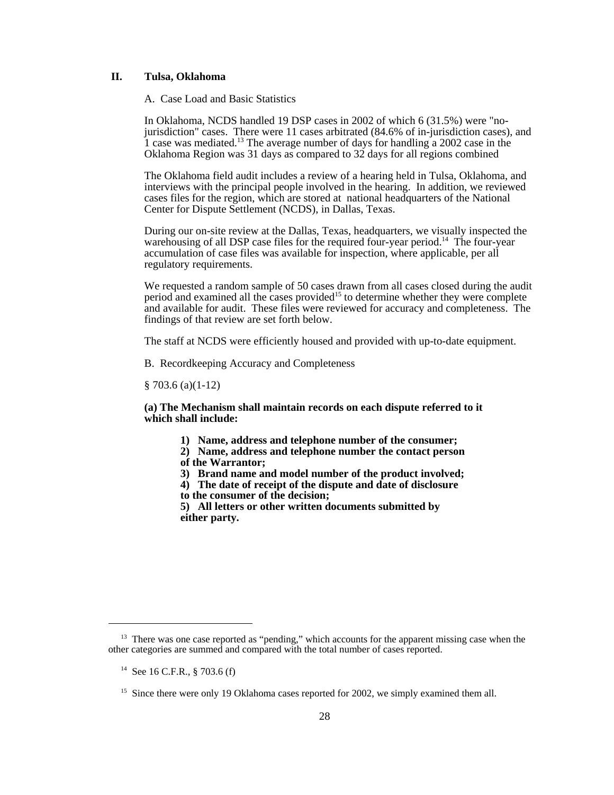#### **II. Tulsa, Oklahoma**

A. Case Load and Basic Statistics

In Oklahoma, NCDS handled 19 DSP cases in 2002 of which 6 (31.5%) were "nojurisdiction" cases. There were 11 cases arbitrated (84.6% of in-jurisdiction cases), and 1 case was mediated.<sup>13</sup> The average number of days for handling a 2002 case in the Oklahoma Region was 31 days as compared to 32 days for all regions combined

The Oklahoma field audit includes a review of a hearing held in Tulsa, Oklahoma, and interviews with the principal people involved in the hearing. In addition, we reviewed cases files for the region, which are stored at national headquarters of the National Center for Dispute Settlement (NCDS), in Dallas, Texas.

During our on-site review at the Dallas, Texas, headquarters, we visually inspected the warehousing of all DSP case files for the required four-year period.<sup>14</sup> The four-year accumulation of case files was available for inspection, where applicable, per all regulatory requirements.

We requested a random sample of 50 cases drawn from all cases closed during the audit period and examined all the cases provided<sup>15</sup> to determine whether they were complete and available for audit. These files were reviewed for accuracy and completeness. The findings of that review are set forth below.

The staff at NCDS were efficiently housed and provided with up-to-date equipment.

B. Recordkeeping Accuracy and Completeness

§ 703.6 (a)(1-12)

**(a) The Mechanism shall maintain records on each dispute referred to it which shall include:**

- **1) Name, address and telephone number of the consumer;**
- **2) Name, address and telephone number the contact person**
- **of the Warrantor;**
- **3) Brand name and model number of the product involved;**
- **4) The date of receipt of the dispute and date of disclosure**
- **to the consumer of the decision;**

**5) All letters or other written documents submitted by either party.**

<sup>&</sup>lt;sup>13</sup> There was one case reported as "pending," which accounts for the apparent missing case when the other categories are summed and compared with the total number of cases reported.

<sup>&</sup>lt;sup>14</sup> See 16 C.F.R.,  $8703.6(f)$ 

<sup>&</sup>lt;sup>15</sup> Since there were only 19 Oklahoma cases reported for 2002, we simply examined them all.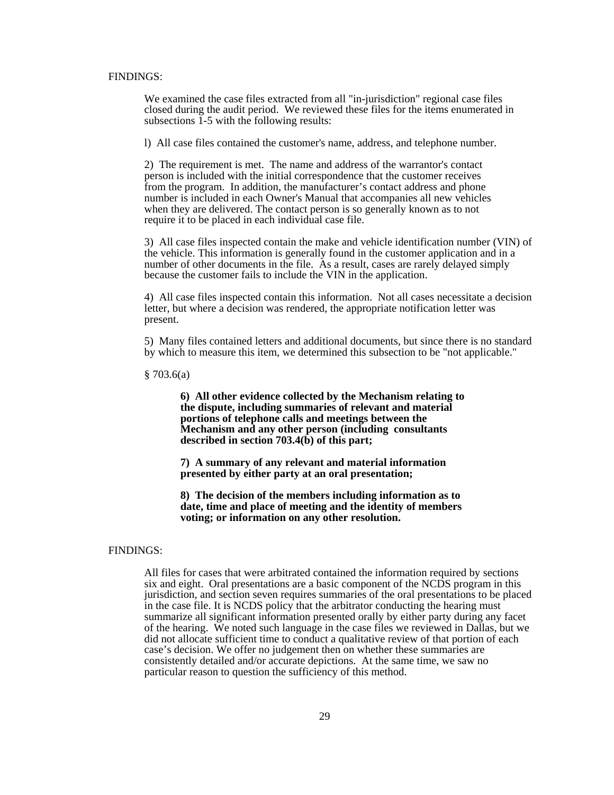#### FINDINGS:

We examined the case files extracted from all "in-jurisdiction" regional case files closed during the audit period. We reviewed these files for the items enumerated in subsections 1-5 with the following results:

l) All case files contained the customer's name, address, and telephone number.

 2) The requirement is met. The name and address of the warrantor's contact person is included with the initial correspondence that the customer receives from the program. In addition, the manufacturer's contact address and phone number is included in each Owner's Manual that accompanies all new vehicles when they are delivered. The contact person is so generally known as to not require it to be placed in each individual case file.

3) All case files inspected contain the make and vehicle identification number (VIN) of the vehicle. This information is generally found in the customer application and in a number of other documents in the file. As a result, cases are rarely delayed simply because the customer fails to include the VIN in the application.

4) All case files inspected contain this information. Not all cases necessitate a decision letter, but where a decision was rendered, the appropriate notification letter was present.

5) Many files contained letters and additional documents, but since there is no standard by which to measure this item, we determined this subsection to be "not applicable."

§ 703.6(a)

**6) All other evidence collected by the Mechanism relating to the dispute, including summaries of relevant and material portions of telephone calls and meetings between the Mechanism and any other person (including consultants described in section 703.4(b) of this part;**

**7) A summary of any relevant and material information presented by either party at an oral presentation;**

**8) The decision of the members including information as to date, time and place of meeting and the identity of members voting; or information on any other resolution.**

#### FINDINGS:

All files for cases that were arbitrated contained the information required by sections six and eight. Oral presentations are a basic component of the NCDS program in this jurisdiction, and section seven requires summaries of the oral presentations to be placed in the case file. It is NCDS policy that the arbitrator conducting the hearing must summarize all significant information presented orally by either party during any facet of the hearing. We noted such language in the case files we reviewed in Dallas, but we did not allocate sufficient time to conduct a qualitative review of that portion of each case's decision. We offer no judgement then on whether these summaries are consistently detailed and/or accurate depictions. At the same time, we saw no particular reason to question the sufficiency of this method.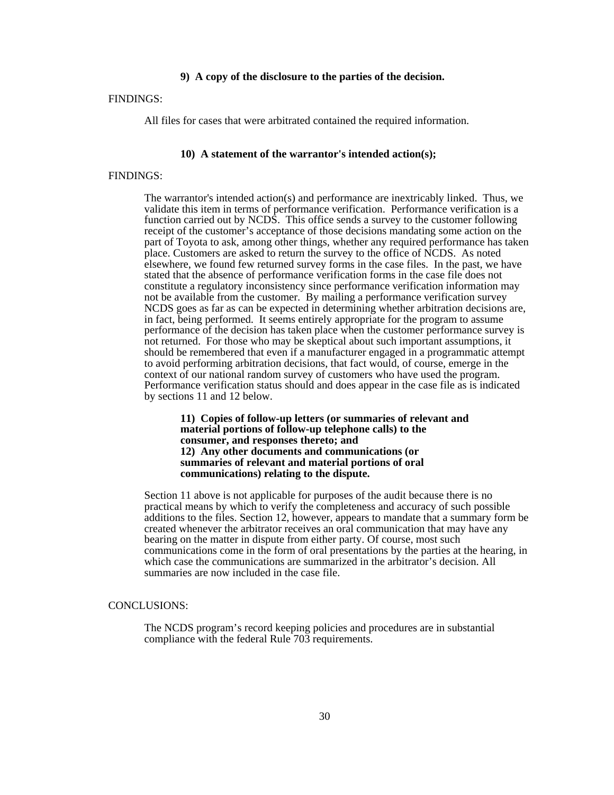#### **9) A copy of the disclosure to the parties of the decision.**

#### FINDINGS:

All files for cases that were arbitrated contained the required information.

#### **10) A statement of the warrantor's intended action(s);**

#### FINDINGS:

The warrantor's intended action(s) and performance are inextricably linked. Thus, we validate this item in terms of performance verification. Performance verification is a function carried out by NCDS. This office sends a survey to the customer following receipt of the customer's acceptance of those decisions mandating some action on the part of Toyota to ask, among other things, whether any required performance has taken place. Customers are asked to return the survey to the office of NCDS. As noted elsewhere, we found few returned survey forms in the case files. In the past, we have stated that the absence of performance verification forms in the case file does not constitute a regulatory inconsistency since performance verification information may not be available from the customer. By mailing a performance verification survey NCDS goes as far as can be expected in determining whether arbitration decisions are, in fact, being performed. It seems entirely appropriate for the program to assume performance of the decision has taken place when the customer performance survey is not returned. For those who may be skeptical about such important assumptions, it should be remembered that even if a manufacturer engaged in a programmatic attempt to avoid performing arbitration decisions, that fact would, of course, emerge in the context of our national random survey of customers who have used the program. Performance verification status should and does appear in the case file as is indicated by sections 11 and 12 below.

**11) Copies of follow-up letters (or summaries of relevant and material portions of follow-up telephone calls) to the consumer, and responses thereto; and 12) Any other documents and communications (or summaries of relevant and material portions of oral communications) relating to the dispute.**

Section 11 above is not applicable for purposes of the audit because there is no practical means by which to verify the completeness and accuracy of such possible additions to the files. Section 12, however, appears to mandate that a summary form be created whenever the arbitrator receives an oral communication that may have any bearing on the matter in dispute from either party. Of course, most such communications come in the form of oral presentations by the parties at the hearing, in which case the communications are summarized in the arbitrator's decision. All summaries are now included in the case file.

#### CONCLUSIONS:

The NCDS program's record keeping policies and procedures are in substantial compliance with the federal Rule 703 requirements.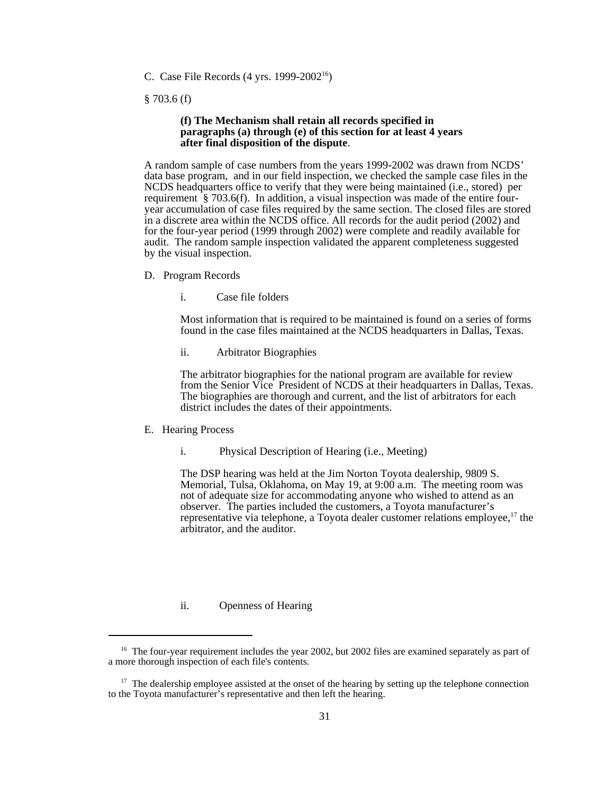C. Case File Records (4 yrs. 1999-200216)

§ 703.6 (f)

#### **(f) The Mechanism shall retain all records specified in paragraphs (a) through (e) of this section for at least 4 years after final disposition of the dispute**.

A random sample of case numbers from the years 1999-2002 was drawn from NCDS' data base program, and in our field inspection, we checked the sample case files in the NCDS headquarters office to verify that they were being maintained (i.e., stored) per requirement § 703.6(f). In addition, a visual inspection was made of the entire fouryear accumulation of case files required by the same section. The closed files are stored in a discrete area within the NCDS office. All records for the audit period (2002) and for the four-year period (1999 through 2002) were complete and readily available for audit. The random sample inspection validated the apparent completeness suggested by the visual inspection.

- D. Program Records
	- i. Case file folders

Most information that is required to be maintained is found on a series of forms found in the case files maintained at the NCDS headquarters in Dallas, Texas.

ii. Arbitrator Biographies

The arbitrator biographies for the national program are available for review from the Senior Vice President of NCDS at their headquarters in Dallas, Texas. The biographies are thorough and current, and the list of arbitrators for each district includes the dates of their appointments.

- E. Hearing Process
	- i. Physical Description of Hearing (i.e., Meeting)

The DSP hearing was held at the Jim Norton Toyota dealership, 9809 S. Memorial, Tulsa, Oklahoma, on May 19, at 9:00 a.m. The meeting room was not of adequate size for accommodating anyone who wished to attend as an observer. The parties included the customers, a Toyota manufacturer's representative via telephone, a Toyota dealer customer relations employee, $17$  the arbitrator, and the auditor.

#### ii. Openness of Hearing

<sup>&</sup>lt;sup>16</sup> The four-year requirement includes the year 2002, but 2002 files are examined separately as part of a more thorough inspection of each file's contents.

 $17$  The dealership employee assisted at the onset of the hearing by setting up the telephone connection to the Toyota manufacturer's representative and then left the hearing.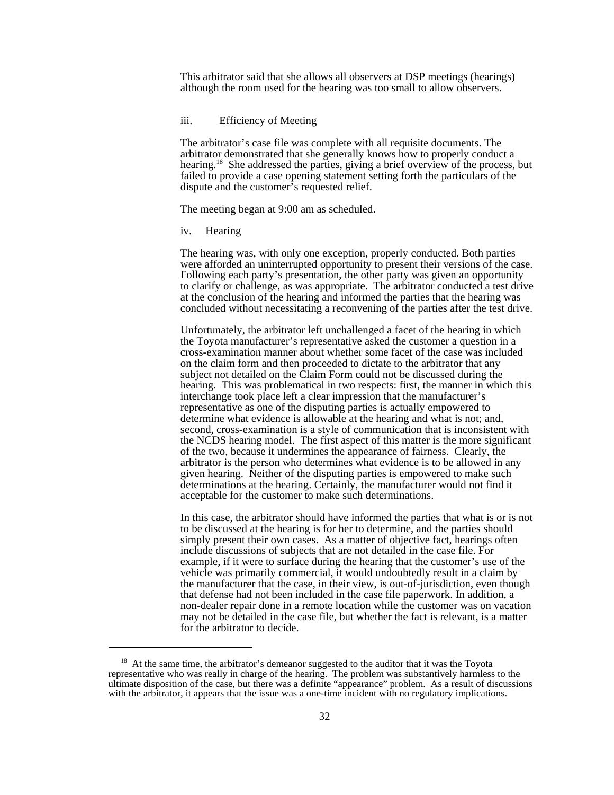This arbitrator said that she allows all observers at DSP meetings (hearings) although the room used for the hearing was too small to allow observers.

#### iii. Efficiency of Meeting

The arbitrator's case file was complete with all requisite documents. The arbitrator demonstrated that she generally knows how to properly conduct a hearing.<sup>18</sup> She addressed the parties, giving a brief overview of the process, but failed to provide a case opening statement setting forth the particulars of the dispute and the customer's requested relief.

The meeting began at 9:00 am as scheduled.

iv. Hearing

The hearing was, with only one exception, properly conducted. Both parties were afforded an uninterrupted opportunity to present their versions of the case. Following each party's presentation, the other party was given an opportunity to clarify or challenge, as was appropriate. The arbitrator conducted a test drive at the conclusion of the hearing and informed the parties that the hearing was concluded without necessitating a reconvening of the parties after the test drive.

Unfortunately, the arbitrator left unchallenged a facet of the hearing in which the Toyota manufacturer's representative asked the customer a question in a cross-examination manner about whether some facet of the case was included on the claim form and then proceeded to dictate to the arbitrator that any subject not detailed on the Claim Form could not be discussed during the hearing. This was problematical in two respects: first, the manner in which this interchange took place left a clear impression that the manufacturer's representative as one of the disputing parties is actually empowered to determine what evidence is allowable at the hearing and what is not; and, second, cross-examination is a style of communication that is inconsistent with the NCDS hearing model. The first aspect of this matter is the more significant of the two, because it undermines the appearance of fairness. Clearly, the arbitrator is the person who determines what evidence is to be allowed in any given hearing. Neither of the disputing parties is empowered to make such determinations at the hearing. Certainly, the manufacturer would not find it acceptable for the customer to make such determinations.

In this case, the arbitrator should have informed the parties that what is or is not to be discussed at the hearing is for her to determine, and the parties should simply present their own cases. As a matter of objective fact, hearings often include discussions of subjects that are not detailed in the case file. For example, if it were to surface during the hearing that the customer's use of the vehicle was primarily commercial, it would undoubtedly result in a claim by the manufacturer that the case, in their view, is out-of-jurisdiction, even though that defense had not been included in the case file paperwork. In addition, a non-dealer repair done in a remote location while the customer was on vacation may not be detailed in the case file, but whether the fact is relevant, is a matter for the arbitrator to decide.

 $18$  At the same time, the arbitrator's demeanor suggested to the auditor that it was the Toyota representative who was really in charge of the hearing. The problem was substantively harmless to the ultimate disposition of the case, but there was a definite "appearance" problem. As a result of discussions with the arbitrator, it appears that the issue was a one-time incident with no regulatory implications.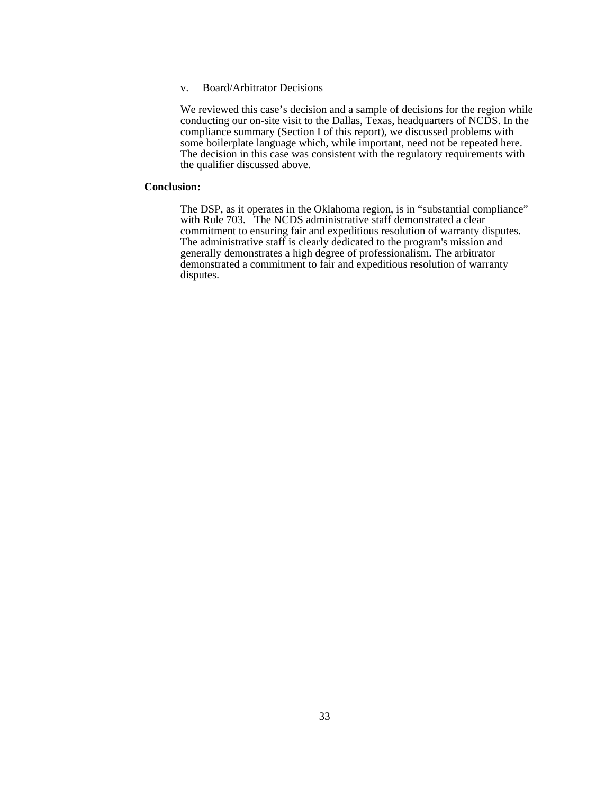#### v. Board/Arbitrator Decisions

We reviewed this case's decision and a sample of decisions for the region while conducting our on-site visit to the Dallas, Texas, headquarters of NCDS. In the compliance summary (Section I of this report), we discussed problems with some boilerplate language which, while important, need not be repeated here. The decision in this case was consistent with the regulatory requirements with the qualifier discussed above.

#### **Conclusion:**

The DSP, as it operates in the Oklahoma region, is in "substantial compliance" with Rule 703. The NCDS administrative staff demonstrated a clear commitment to ensuring fair and expeditious resolution of warranty disputes. The administrative staff is clearly dedicated to the program's mission and generally demonstrates a high degree of professionalism. The arbitrator demonstrated a commitment to fair and expeditious resolution of warranty disputes.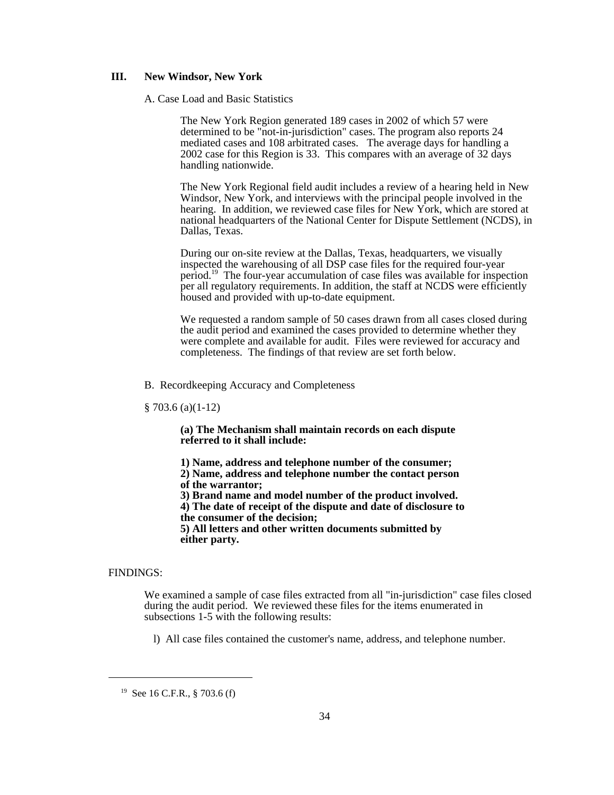#### **III. New Windsor, New York**

#### A. Case Load and Basic Statistics

The New York Region generated 189 cases in 2002 of which 57 were determined to be "not-in-jurisdiction" cases. The program also reports 24 mediated cases and 108 arbitrated cases. The average days for handling a 2002 case for this Region is 33. This compares with an average of 32 days handling nationwide.

The New York Regional field audit includes a review of a hearing held in New Windsor, New York, and interviews with the principal people involved in the hearing. In addition, we reviewed case files for New York, which are stored at national headquarters of the National Center for Dispute Settlement (NCDS), in Dallas, Texas.

During our on-site review at the Dallas, Texas, headquarters, we visually inspected the warehousing of all DSP case files for the required four-year period.19 The four-year accumulation of case files was available for inspection per all regulatory requirements. In addition, the staff at NCDS were efficiently housed and provided with up-to-date equipment.

We requested a random sample of 50 cases drawn from all cases closed during the audit period and examined the cases provided to determine whether they were complete and available for audit. Files were reviewed for accuracy and completeness. The findings of that review are set forth below.

#### B. Recordkeeping Accuracy and Completeness

§ 703.6 (a)(1-12)

**(a) The Mechanism shall maintain records on each dispute referred to it shall include:**

**1) Name, address and telephone number of the consumer;**

**2) Name, address and telephone number the contact person of the warrantor;**

**3) Brand name and model number of the product involved.**

**4) The date of receipt of the dispute and date of disclosure to the consumer of the decision;**

**5) All letters and other written documents submitted by either party.**

#### FINDINGS:

We examined a sample of case files extracted from all "in-jurisdiction" case files closed during the audit period. We reviewed these files for the items enumerated in subsections 1-5 with the following results:

l) All case files contained the customer's name, address, and telephone number.

<sup>&</sup>lt;sup>19</sup> See 16 C.F.R., § 703.6 (f)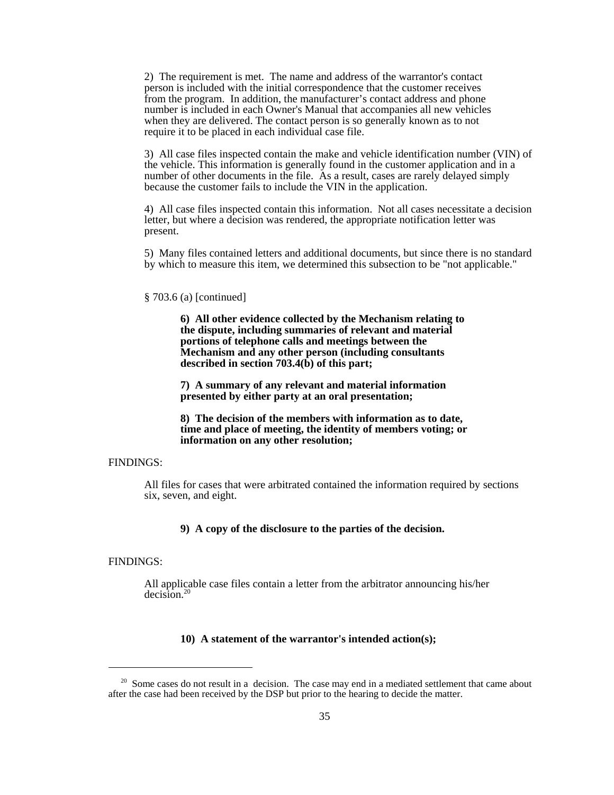2) The requirement is met. The name and address of the warrantor's contact person is included with the initial correspondence that the customer receives from the program. In addition, the manufacturer's contact address and phone number is included in each Owner's Manual that accompanies all new vehicles when they are delivered. The contact person is so generally known as to not require it to be placed in each individual case file.

3) All case files inspected contain the make and vehicle identification number (VIN) of the vehicle. This information is generally found in the customer application and in a number of other documents in the file. As a result, cases are rarely delayed simply because the customer fails to include the VIN in the application.

4) All case files inspected contain this information. Not all cases necessitate a decision letter, but where a decision was rendered, the appropriate notification letter was present.

5) Many files contained letters and additional documents, but since there is no standard by which to measure this item, we determined this subsection to be "not applicable."

#### § 703.6 (a) [continued]

**6) All other evidence collected by the Mechanism relating to the dispute, including summaries of relevant and material portions of telephone calls and meetings between the Mechanism and any other person (including consultants described in section 703.4(b) of this part;**

**7) A summary of any relevant and material information presented by either party at an oral presentation;**

**8) The decision of the members with information as to date, time and place of meeting, the identity of members voting; or information on any other resolution;**

#### FINDINGS:

All files for cases that were arbitrated contained the information required by sections six, seven, and eight.

#### **9) A copy of the disclosure to the parties of the decision.**

#### FINDINGS:

All applicable case files contain a letter from the arbitrator announcing his/her decision.20

#### **10) A statement of the warrantor's intended action(s);**

 $20\,$  Some cases do not result in a decision. The case may end in a mediated settlement that came about after the case had been received by the DSP but prior to the hearing to decide the matter.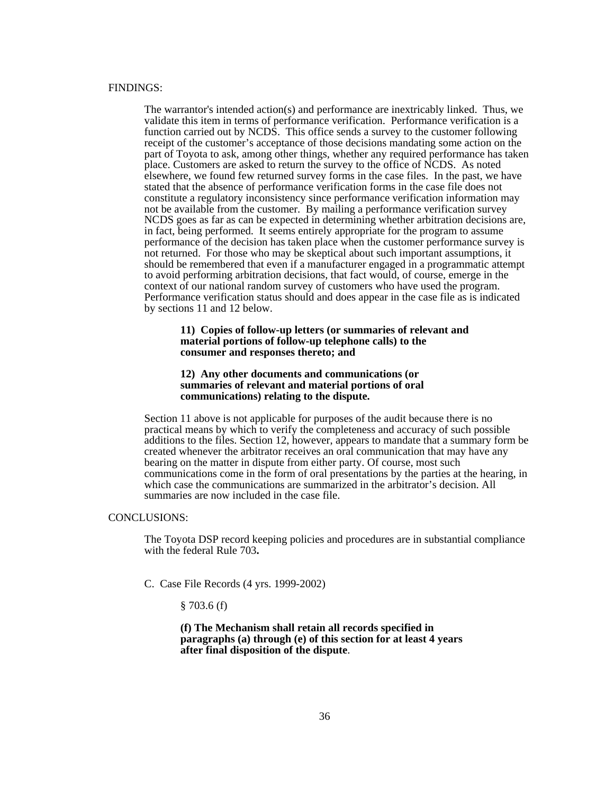#### FINDINGS:

The warrantor's intended action(s) and performance are inextricably linked. Thus, we validate this item in terms of performance verification. Performance verification is a function carried out by NCDS. This office sends a survey to the customer following receipt of the customer's acceptance of those decisions mandating some action on the part of Toyota to ask, among other things, whether any required performance has taken place. Customers are asked to return the survey to the office of NCDS. As noted elsewhere, we found few returned survey forms in the case files. In the past, we have stated that the absence of performance verification forms in the case file does not constitute a regulatory inconsistency since performance verification information may not be available from the customer. By mailing a performance verification survey NCDS goes as far as can be expected in determining whether arbitration decisions are, in fact, being performed. It seems entirely appropriate for the program to assume performance of the decision has taken place when the customer performance survey is not returned. For those who may be skeptical about such important assumptions, it should be remembered that even if a manufacturer engaged in a programmatic attempt to avoid performing arbitration decisions, that fact would, of course, emerge in the context of our national random survey of customers who have used the program. Performance verification status should and does appear in the case file as is indicated by sections 11 and 12 below.

#### **11) Copies of follow-up letters (or summaries of relevant and material portions of follow-up telephone calls) to the consumer and responses thereto; and**

#### **12) Any other documents and communications (or summaries of relevant and material portions of oral communications) relating to the dispute.**

Section 11 above is not applicable for purposes of the audit because there is no practical means by which to verify the completeness and accuracy of such possible additions to the files. Section 12, however, appears to mandate that a summary form be created whenever the arbitrator receives an oral communication that may have any bearing on the matter in dispute from either party. Of course, most such communications come in the form of oral presentations by the parties at the hearing, in which case the communications are summarized in the arbitrator's decision. All summaries are now included in the case file.

#### CONCLUSIONS:

The Toyota DSP record keeping policies and procedures are in substantial compliance with the federal Rule 703**.**

- C. Case File Records (4 yrs. 1999-2002)
	- $§ 703.6(f)$

**(f) The Mechanism shall retain all records specified in paragraphs (a) through (e) of this section for at least 4 years after final disposition of the dispute**.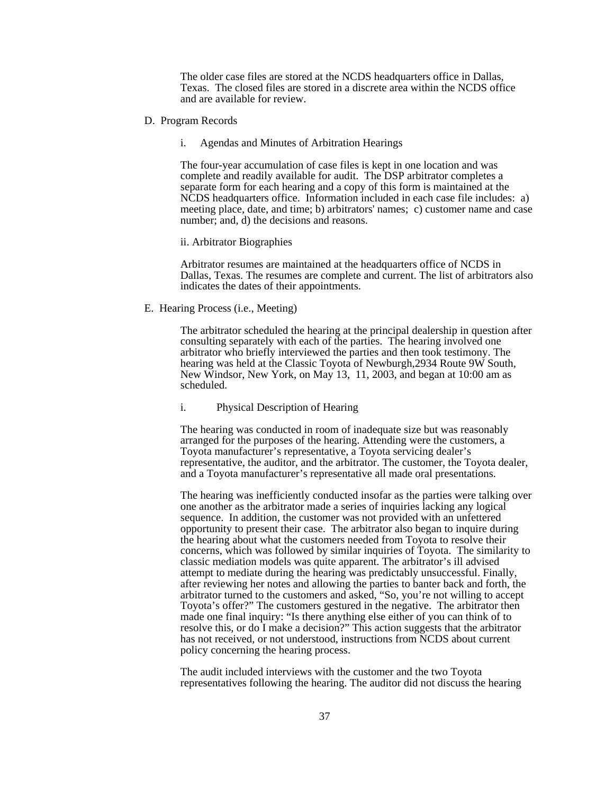The older case files are stored at the NCDS headquarters office in Dallas, Texas. The closed files are stored in a discrete area within the NCDS office and are available for review.

- D. Program Records
	- i. Agendas and Minutes of Arbitration Hearings

The four-year accumulation of case files is kept in one location and was complete and readily available for audit. The DSP arbitrator completes a separate form for each hearing and a copy of this form is maintained at the NCDS headquarters office. Information included in each case file includes: a) meeting place, date, and time; b) arbitrators' names; c) customer name and case number; and, d) the decisions and reasons.

#### ii. Arbitrator Biographies

Arbitrator resumes are maintained at the headquarters office of NCDS in Dallas, Texas. The resumes are complete and current. The list of arbitrators also indicates the dates of their appointments.

E. Hearing Process (i.e., Meeting)

The arbitrator scheduled the hearing at the principal dealership in question after consulting separately with each of the parties. The hearing involved one arbitrator who briefly interviewed the parties and then took testimony. The hearing was held at the Classic Toyota of Newburgh,2934 Route 9W South, New Windsor, New York, on May 13, 11, 2003, and began at 10:00 am as scheduled.

#### i. Physical Description of Hearing

The hearing was conducted in room of inadequate size but was reasonably arranged for the purposes of the hearing. Attending were the customers, a Toyota manufacturer's representative, a Toyota servicing dealer's representative, the auditor, and the arbitrator. The customer, the Toyota dealer, and a Toyota manufacturer's representative all made oral presentations.

The hearing was inefficiently conducted insofar as the parties were talking over one another as the arbitrator made a series of inquiries lacking any logical sequence. In addition, the customer was not provided with an unfettered opportunity to present their case. The arbitrator also began to inquire during the hearing about what the customers needed from Toyota to resolve their concerns, which was followed by similar inquiries of Toyota. The similarity to classic mediation models was quite apparent. The arbitrator's ill advised attempt to mediate during the hearing was predictably unsuccessful. Finally, after reviewing her notes and allowing the parties to banter back and forth, the arbitrator turned to the customers and asked, "So, you're not willing to accept Toyota's offer?" The customers gestured in the negative. The arbitrator then made one final inquiry: "Is there anything else either of you can think of to resolve this, or do I make a decision?" This action suggests that the arbitrator has not received, or not understood, instructions from NCDS about current policy concerning the hearing process.

The audit included interviews with the customer and the two Toyota representatives following the hearing. The auditor did not discuss the hearing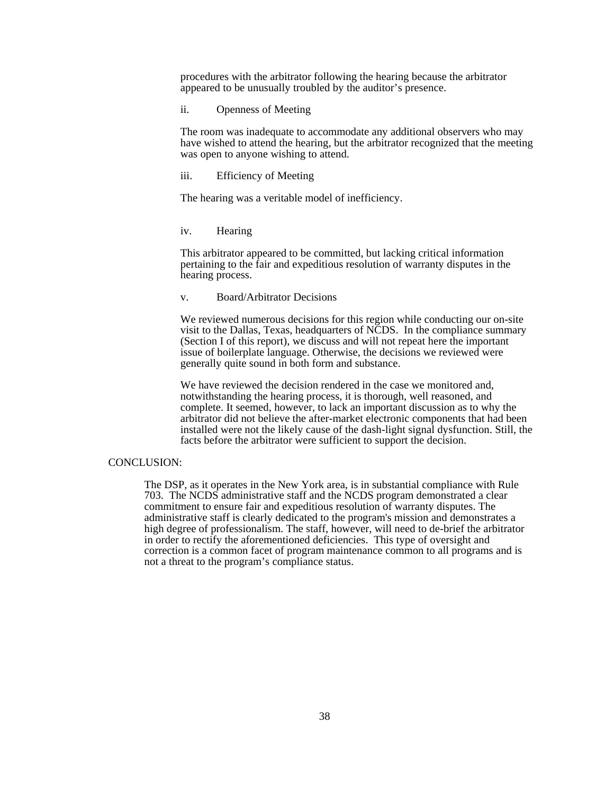procedures with the arbitrator following the hearing because the arbitrator appeared to be unusually troubled by the auditor's presence.

ii. Openness of Meeting

The room was inadequate to accommodate any additional observers who may have wished to attend the hearing, but the arbitrator recognized that the meeting was open to anyone wishing to attend.

#### iii. Efficiency of Meeting

The hearing was a veritable model of inefficiency.

#### iv. Hearing

This arbitrator appeared to be committed, but lacking critical information pertaining to the fair and expeditious resolution of warranty disputes in the hearing process.

#### v. Board/Arbitrator Decisions

We reviewed numerous decisions for this region while conducting our on-site visit to the Dallas, Texas, headquarters of NCDS. In the compliance summary (Section I of this report), we discuss and will not repeat here the important issue of boilerplate language. Otherwise, the decisions we reviewed were generally quite sound in both form and substance.

We have reviewed the decision rendered in the case we monitored and, notwithstanding the hearing process, it is thorough, well reasoned, and complete. It seemed, however, to lack an important discussion as to why the arbitrator did not believe the after-market electronic components that had been installed were not the likely cause of the dash-light signal dysfunction. Still, the facts before the arbitrator were sufficient to support the decision.

#### CONCLUSION:

The DSP, as it operates in the New York area, is in substantial compliance with Rule 703. The NCDS administrative staff and the NCDS program demonstrated a clear commitment to ensure fair and expeditious resolution of warranty disputes. The administrative staff is clearly dedicated to the program's mission and demonstrates a high degree of professionalism. The staff, however, will need to de-brief the arbitrator in order to rectify the aforementioned deficiencies. This type of oversight and correction is a common facet of program maintenance common to all programs and is not a threat to the program's compliance status.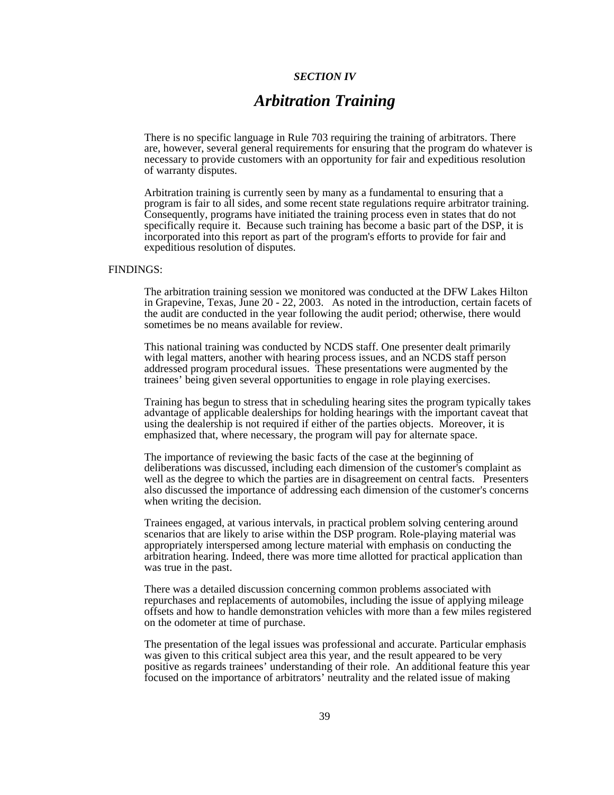#### *SECTION IV*

## *Arbitration Training*

There is no specific language in Rule 703 requiring the training of arbitrators. There are, however, several general requirements for ensuring that the program do whatever is necessary to provide customers with an opportunity for fair and expeditious resolution of warranty disputes.

Arbitration training is currently seen by many as a fundamental to ensuring that a program is fair to all sides, and some recent state regulations require arbitrator training. Consequently, programs have initiated the training process even in states that do not specifically require it. Because such training has become a basic part of the DSP, it is incorporated into this report as part of the program's efforts to provide for fair and expeditious resolution of disputes.

#### FINDINGS:

The arbitration training session we monitored was conducted at the DFW Lakes Hilton in Grapevine, Texas, June 20 - 22, 2003. As noted in the introduction, certain facets of the audit are conducted in the year following the audit period; otherwise, there would sometimes be no means available for review.

This national training was conducted by NCDS staff. One presenter dealt primarily with legal matters, another with hearing process issues, and an NCDS staff person addressed program procedural issues. These presentations were augmented by the trainees' being given several opportunities to engage in role playing exercises.

Training has begun to stress that in scheduling hearing sites the program typically takes advantage of applicable dealerships for holding hearings with the important caveat that using the dealership is not required if either of the parties objects. Moreover, it is emphasized that, where necessary, the program will pay for alternate space.

The importance of reviewing the basic facts of the case at the beginning of deliberations was discussed, including each dimension of the customer's complaint as well as the degree to which the parties are in disagreement on central facts. Presenters also discussed the importance of addressing each dimension of the customer's concerns when writing the decision.

Trainees engaged, at various intervals, in practical problem solving centering around scenarios that are likely to arise within the DSP program. Role-playing material was appropriately interspersed among lecture material with emphasis on conducting the arbitration hearing. Indeed, there was more time allotted for practical application than was true in the past.

There was a detailed discussion concerning common problems associated with repurchases and replacements of automobiles, including the issue of applying mileage offsets and how to handle demonstration vehicles with more than a few miles registered on the odometer at time of purchase.

The presentation of the legal issues was professional and accurate. Particular emphasis was given to this critical subject area this year, and the result appeared to be very positive as regards trainees' understanding of their role. An additional feature this year focused on the importance of arbitrators' neutrality and the related issue of making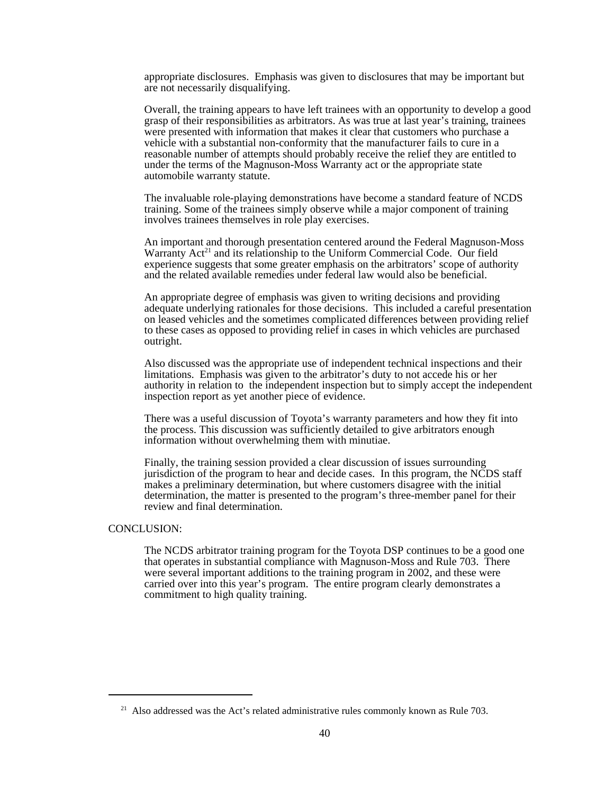appropriate disclosures. Emphasis was given to disclosures that may be important but are not necessarily disqualifying.

Overall, the training appears to have left trainees with an opportunity to develop a good grasp of their responsibilities as arbitrators. As was true at last year's training, trainees were presented with information that makes it clear that customers who purchase a vehicle with a substantial non-conformity that the manufacturer fails to cure in a reasonable number of attempts should probably receive the relief they are entitled to under the terms of the Magnuson-Moss Warranty act or the appropriate state automobile warranty statute.

The invaluable role-playing demonstrations have become a standard feature of NCDS training. Some of the trainees simply observe while a major component of training involves trainees themselves in role play exercises.

An important and thorough presentation centered around the Federal Magnuson-Moss Warranty  $Act<sup>21</sup>$  and its relationship to the Uniform Commercial Code. Our field experience suggests that some greater emphasis on the arbitrators' scope of authority and the related available remedies under federal law would also be beneficial.

An appropriate degree of emphasis was given to writing decisions and providing adequate underlying rationales for those decisions. This included a careful presentation on leased vehicles and the sometimes complicated differences between providing relief to these cases as opposed to providing relief in cases in which vehicles are purchased outright.

Also discussed was the appropriate use of independent technical inspections and their limitations. Emphasis was given to the arbitrator's duty to not accede his or her authority in relation to the independent inspection but to simply accept the independent inspection report as yet another piece of evidence.

There was a useful discussion of Toyota's warranty parameters and how they fit into the process. This discussion was sufficiently detailed to give arbitrators enough information without overwhelming them with minutiae.

Finally, the training session provided a clear discussion of issues surrounding jurisdiction of the program to hear and decide cases. In this program, the NCDS staff makes a preliminary determination, but where customers disagree with the initial determination, the matter is presented to the program's three-member panel for their review and final determination.

#### CONCLUSION:

The NCDS arbitrator training program for the Toyota DSP continues to be a good one that operates in substantial compliance with Magnuson-Moss and Rule 703. There were several important additions to the training program in 2002, and these were carried over into this year's program. The entire program clearly demonstrates a commitment to high quality training.

<sup>&</sup>lt;sup>21</sup> Also addressed was the Act's related administrative rules commonly known as Rule 703.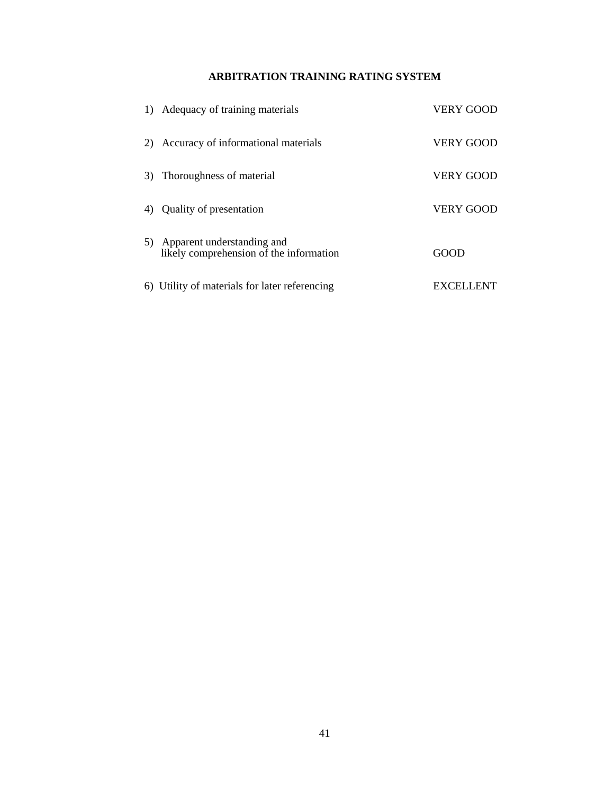### **ARBITRATION TRAINING RATING SYSTEM**

|    | 1) Adequacy of training materials                                        | <b>VERY GOOD</b> |
|----|--------------------------------------------------------------------------|------------------|
|    | 2) Accuracy of informational materials                                   | <b>VERY GOOD</b> |
| 3) | Thoroughness of material                                                 | <b>VERY GOOD</b> |
| 4) | Quality of presentation                                                  | <b>VERY GOOD</b> |
|    | 5) Apparent understanding and<br>likely comprehension of the information | GOOD             |
|    | 6) Utility of materials for later referencing                            | EXCEI            |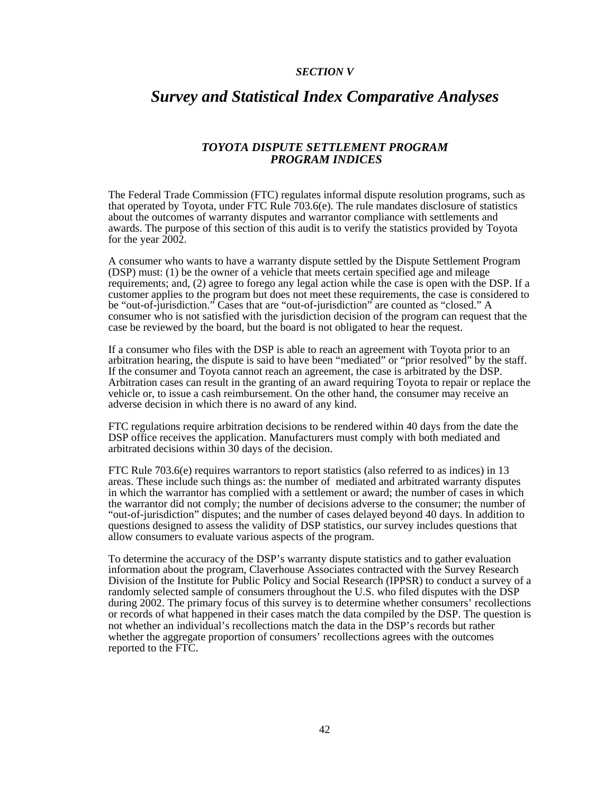#### *SECTION V*

## *Survey and Statistical Index Comparative Analyses*

#### *TOYOTA DISPUTE SETTLEMENT PROGRAM PROGRAM INDICES*

The Federal Trade Commission (FTC) regulates informal dispute resolution programs, such as that operated by Toyota, under FTC Rule 703.6(e). The rule mandates disclosure of statistics about the outcomes of warranty disputes and warrantor compliance with settlements and awards. The purpose of this section of this audit is to verify the statistics provided by Toyota for the year  $2002$ .

A consumer who wants to have a warranty dispute settled by the Dispute Settlement Program (DSP) must: (1) be the owner of a vehicle that meets certain specified age and mileage requirements; and, (2) agree to forego any legal action while the case is open with the DSP. If a customer applies to the program but does not meet these requirements, the case is considered to be "out-of-jurisdiction." Cases that are "out-of-jurisdiction" are counted as "closed." A consumer who is not satisfied with the jurisdiction decision of the program can request that the case be reviewed by the board, but the board is not obligated to hear the request.

If a consumer who files with the DSP is able to reach an agreement with Toyota prior to an arbitration hearing, the dispute is said to have been "mediated" or "prior resolved" by the staff. If the consumer and Toyota cannot reach an agreement, the case is arbitrated by the DSP. Arbitration cases can result in the granting of an award requiring Toyota to repair or replace the vehicle or, to issue a cash reimbursement. On the other hand, the consumer may receive an adverse decision in which there is no award of any kind.

FTC regulations require arbitration decisions to be rendered within 40 days from the date the DSP office receives the application. Manufacturers must comply with both mediated and arbitrated decisions within 30 days of the decision.

FTC Rule 703.6(e) requires warrantors to report statistics (also referred to as indices) in 13 areas. These include such things as: the number of mediated and arbitrated warranty disputes in which the warrantor has complied with a settlement or award; the number of cases in which the warrantor did not comply; the number of decisions adverse to the consumer; the number of "out-of-jurisdiction" disputes; and the number of cases delayed beyond 40 days. In addition to questions designed to assess the validity of DSP statistics, our survey includes questions that allow consumers to evaluate various aspects of the program.

To determine the accuracy of the DSP's warranty dispute statistics and to gather evaluation information about the program, Claverhouse Associates contracted with the Survey Research Division of the Institute for Public Policy and Social Research (IPPSR) to conduct a survey of a randomly selected sample of consumers throughout the U.S. who filed disputes with the DSP during 2002. The primary focus of this survey is to determine whether consumers' recollections or records of what happened in their cases match the data compiled by the DSP. The question is not whether an individual's recollections match the data in the DSP's records but rather whether the aggregate proportion of consumers' recollections agrees with the outcomes reported to the FTC.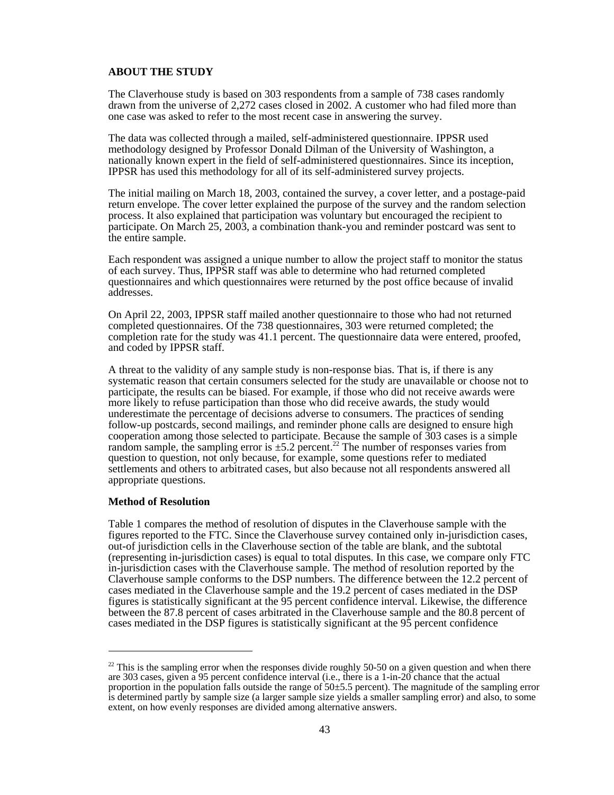#### **ABOUT THE STUDY**

The Claverhouse study is based on 303 respondents from a sample of 738 cases randomly drawn from the universe of 2,272 cases closed in 2002. A customer who had filed more than one case was asked to refer to the most recent case in answering the survey.

The data was collected through a mailed, self-administered questionnaire. IPPSR used methodology designed by Professor Donald Dilman of the University of Washington, a nationally known expert in the field of self-administered questionnaires. Since its inception, IPPSR has used this methodology for all of its self-administered survey projects.

The initial mailing on March 18, 2003, contained the survey, a cover letter, and a postage-paid return envelope. The cover letter explained the purpose of the survey and the random selection process. It also explained that participation was voluntary but encouraged the recipient to participate. On March 25, 2003, a combination thank-you and reminder postcard was sent to the entire sample.

Each respondent was assigned a unique number to allow the project staff to monitor the status of each survey. Thus, IPPSR staff was able to determine who had returned completed questionnaires and which questionnaires were returned by the post office because of invalid addresses.

On April 22, 2003, IPPSR staff mailed another questionnaire to those who had not returned completed questionnaires. Of the 738 questionnaires, 303 were returned completed; the completion rate for the study was 41.1 percent. The questionnaire data were entered, proofed, and coded by IPPSR staff.

A threat to the validity of any sample study is non-response bias. That is, if there is any systematic reason that certain consumers selected for the study are unavailable or choose not to participate, the results can be biased. For example, if those who did not receive awards were more likely to refuse participation than those who did receive awards, the study would underestimate the percentage of decisions adverse to consumers. The practices of sending follow-up postcards, second mailings, and reminder phone calls are designed to ensure high cooperation among those selected to participate. Because the sample of 303 cases is a simple random sample, the sampling error is  $\pm$ 5.2 percent.<sup>22</sup> The number of responses varies from question to question, not only because, for example, some questions refer to mediated settlements and others to arbitrated cases, but also because not all respondents answered all appropriate questions.

#### **Method of Resolution**

Table 1 compares the method of resolution of disputes in the Claverhouse sample with the figures reported to the FTC. Since the Claverhouse survey contained only in-jurisdiction cases, out-of jurisdiction cells in the Claverhouse section of the table are blank, and the subtotal (representing in-jurisdiction cases) is equal to total disputes. In this case, we compare only FTC in-jurisdiction cases with the Claverhouse sample. The method of resolution reported by the Claverhouse sample conforms to the DSP numbers. The difference between the 12.2 percent of cases mediated in the Claverhouse sample and the 19.2 percent of cases mediated in the DSP figures is statistically significant at the 95 percent confidence interval. Likewise, the difference between the 87.8 percent of cases arbitrated in the Claverhouse sample and the 80.8 percent of cases mediated in the DSP figures is statistically significant at the 95 percent confidence

 $22$  This is the sampling error when the responses divide roughly 50-50 on a given question and when there are 303 cases, given a 95 percent confidence interval (i.e., there is a 1-in-20 chance that the actual proportion in the population falls outside the range of 50±5.5 percent). The magnitude of the sampling error is determined partly by sample size (a larger sample size yields a smaller sampling error) and also, to some extent, on how evenly responses are divided among alternative answers.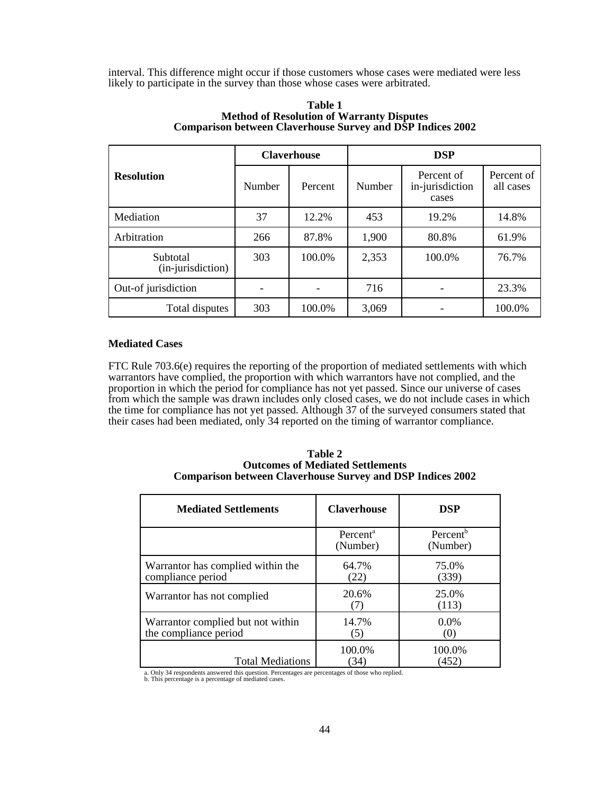interval. This difference might occur if those customers whose cases were mediated were less likely to participate in the survey than those whose cases were arbitrated.

|                               | <b>Claverhouse</b> |         | <b>DSP</b> |                                        |                         |  |
|-------------------------------|--------------------|---------|------------|----------------------------------------|-------------------------|--|
| <b>Resolution</b>             | Number             | Percent | Number     | Percent of<br>in-jurisdiction<br>cases | Percent of<br>all cases |  |
| Mediation                     | 37                 | 12.2%   | 453        | 19.2%                                  | 14.8%                   |  |
| Arbitration                   | 266                | 87.8%   | 1,900      | 80.8%                                  | 61.9%                   |  |
| Subtotal<br>(in-jurisdiction) | 303                | 100.0%  | 2,353      | 100.0%                                 | 76.7%                   |  |
| Out-of jurisdiction           |                    |         | 716        |                                        | 23.3%                   |  |
| Total disputes                | 303                | 100.0%  | 3,069      |                                        | 100.0%                  |  |

#### **Table 1 Method of Resolution of Warranty Disputes Comparison between Claverhouse Survey and DSP Indices 2002**

#### **Mediated Cases**

FTC Rule 703.6(e) requires the reporting of the proportion of mediated settlements with which warrantors have complied, the proportion with which warrantors have not complied, and the proportion in which the period for compliance has not yet passed. Since our universe of cases from which the sample was drawn includes only closed cases, we do not include cases in which the time for compliance has not yet passed. Although 37 of the surveyed consumers stated that their cases had been mediated, only 34 reported on the timing of warrantor compliance.

| Table 2                                                           |
|-------------------------------------------------------------------|
| <b>Outcomes of Mediated Settlements</b>                           |
| <b>Comparison between Claverhouse Survey and DSP Indices 2002</b> |

| <b>Mediated Settlements</b>                                | <b>Claverhouse</b>               | <b>DSP</b>                       |
|------------------------------------------------------------|----------------------------------|----------------------------------|
|                                                            | Percent <sup>a</sup><br>(Number) | Percent <sup>b</sup><br>(Number) |
| Warrantor has complied within the<br>compliance period     | 64.7%<br>(22)                    | 75.0%<br>(339)                   |
| Warrantor has not complied                                 | 20.6%                            | 25.0%<br>(113)                   |
| Warrantor complied but not within<br>the compliance period | 14.7%<br>(5)                     | $0.0\%$<br>(0)                   |
| <b>Total Mediations</b>                                    | 100.0%<br>(34)                   | 100.0%<br>(452)                  |

a. Only 34 respondents answered this question. Percentages are percentages of those who replied. b. This percentage is a percentage of mediated cases.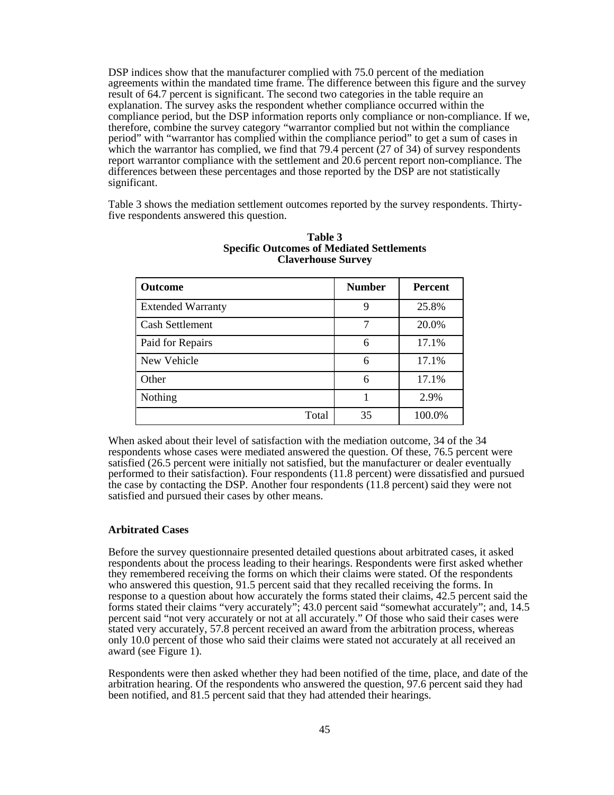DSP indices show that the manufacturer complied with 75.0 percent of the mediation agreements within the mandated time frame. The difference between this figure and the survey result of 64.7 percent is significant. The second two categories in the table require an explanation. The survey asks the respondent whether compliance occurred within the compliance period, but the DSP information reports only compliance or non-compliance. If we, therefore, combine the survey category "warrantor complied but not within the compliance period" with "warrantor has complied within the compliance period" to get a sum of cases in which the warrantor has complied, we find that 79.4 percent  $(27 \text{ of } 34)$  of survey respondents report warrantor compliance with the settlement and 20.6 percent report non-compliance. The differences between these percentages and those reported by the DSP are not statistically significant.

Table 3 shows the mediation settlement outcomes reported by the survey respondents. Thirtyfive respondents answered this question.

| <b>Outcome</b>           | <b>Number</b> | <b>Percent</b> |
|--------------------------|---------------|----------------|
| <b>Extended Warranty</b> | 9             | 25.8%          |
| <b>Cash Settlement</b>   | 7             | 20.0%          |
| Paid for Repairs         | 6             | 17.1%          |
| New Vehicle              | 6             | 17.1%          |
| Other                    | 6             | 17.1%          |
| Nothing                  |               | 2.9%           |
| Total                    | 35            | 100.0%         |

#### **Table 3 Specific Outcomes of Mediated Settlements Claverhouse Survey**

When asked about their level of satisfaction with the mediation outcome, 34 of the 34 respondents whose cases were mediated answered the question. Of these, 76.5 percent were satisfied (26.5 percent were initially not satisfied, but the manufacturer or dealer eventually performed to their satisfaction). Four respondents (11.8 percent) were dissatisfied and pursued the case by contacting the DSP. Another four respondents (11.8 percent) said they were not satisfied and pursued their cases by other means.

#### **Arbitrated Cases**

Before the survey questionnaire presented detailed questions about arbitrated cases, it asked respondents about the process leading to their hearings. Respondents were first asked whether they remembered receiving the forms on which their claims were stated. Of the respondents who answered this question, 91.5 percent said that they recalled receiving the forms. In response to a question about how accurately the forms stated their claims, 42.5 percent said the forms stated their claims "very accurately"; 43.0 percent said "somewhat accurately"; and, 14.5 percent said "not very accurately or not at all accurately." Of those who said their cases were stated very accurately, 57.8 percent received an award from the arbitration process, whereas only 10.0 percent of those who said their claims were stated not accurately at all received an award (see Figure 1).

Respondents were then asked whether they had been notified of the time, place, and date of the arbitration hearing. Of the respondents who answered the question, 97.6 percent said they had been notified, and 81.5 percent said that they had attended their hearings.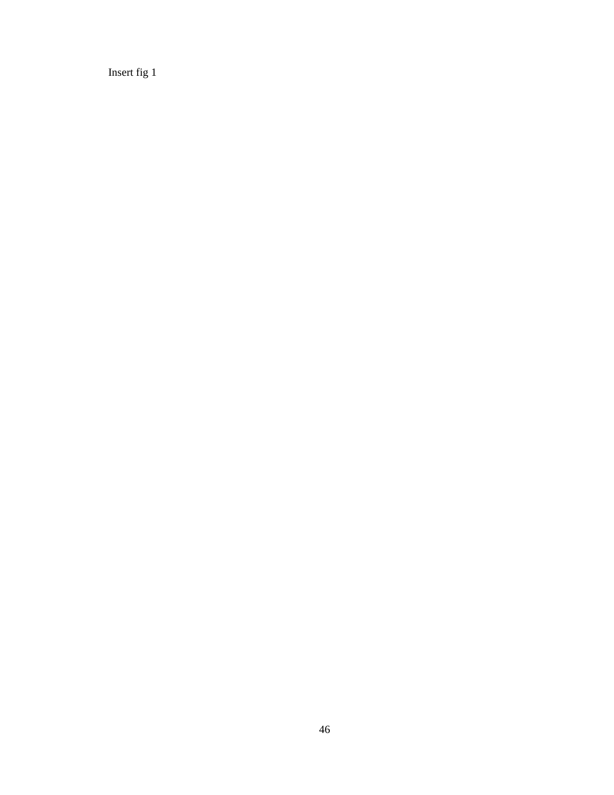Insert fig 1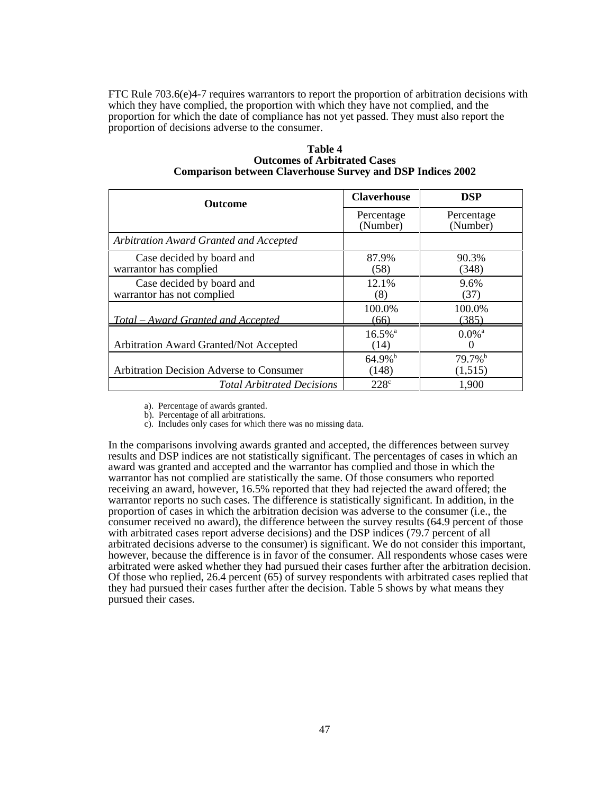FTC Rule  $703.6(e)4-7$  requires warrantors to report the proportion of arbitration decisions with which they have complied, the proportion with which they have not complied, and the proportion for which the date of compliance has not yet passed. They must also report the proportion of decisions adverse to the consumer.

| <b>Outcome</b>                                          | <b>Claverhouse</b>             | <b>DSP</b>                                |
|---------------------------------------------------------|--------------------------------|-------------------------------------------|
|                                                         | Percentage<br>(Number)         | Percentage<br>(Number)                    |
| Arbitration Award Granted and Accepted                  |                                |                                           |
| Case decided by board and<br>warrantor has complied     | 87.9%<br>(58)                  | 90.3%<br>(348)                            |
| Case decided by board and<br>warrantor has not complied | 12.1%<br>(8)                   | 9.6%<br>(37)                              |
| <u>Total – Award Granted and Accepted</u>               | 100.0%<br>(66)                 | 100.0%<br>(385)                           |
| Arbitration Award Granted/Not Accepted                  | $16.5\%$ <sup>a</sup><br>(14)  | $0.0\%$ <sup>a</sup><br>$\mathbf{\Omega}$ |
| <b>Arbitration Decision Adverse to Consumer</b>         | $64.9\%$ <sup>b</sup><br>(148) | $79.7\%$ <sup>b</sup><br>(1,515)          |
| <b>Total Arbitrated Decisions</b>                       | 228 <sup>c</sup>               | 1,900                                     |

**Table 4 Outcomes of Arbitrated Cases Comparison between Claverhouse Survey and DSP Indices 2002**

a). Percentage of awards granted.

b). Percentage of all arbitrations.

c). Includes only cases for which there was no missing data.

In the comparisons involving awards granted and accepted, the differences between survey results and DSP indices are not statistically significant. The percentages of cases in which an award was granted and accepted and the warrantor has complied and those in which the warrantor has not complied are statistically the same. Of those consumers who reported receiving an award, however, 16.5% reported that they had rejected the award offered; the warrantor reports no such cases. The difference is statistically significant. In addition, in the proportion of cases in which the arbitration decision was adverse to the consumer (i.e., the consumer received no award), the difference between the survey results (64.9 percent of those with arbitrated cases report adverse decisions) and the DSP indices (79.7 percent of all arbitrated decisions adverse to the consumer) is significant. We do not consider this important, however, because the difference is in favor of the consumer. All respondents whose cases were arbitrated were asked whether they had pursued their cases further after the arbitration decision. Of those who replied, 26.4 percent (65) of survey respondents with arbitrated cases replied that they had pursued their cases further after the decision. Table 5 shows by what means they pursued their cases.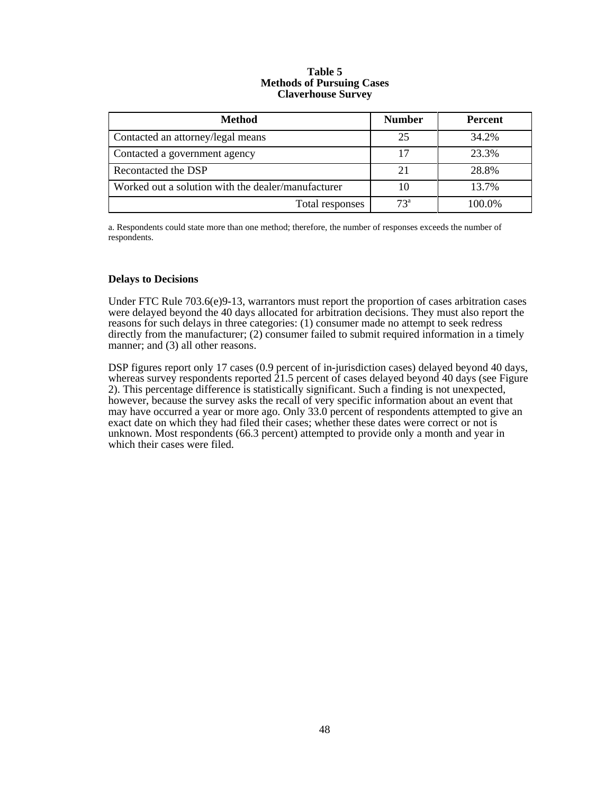#### **Table 5 Methods of Pursuing Cases Claverhouse Survey**

| <b>Method</b>                                      | <b>Number</b> | <b>Percent</b> |
|----------------------------------------------------|---------------|----------------|
| Contacted an attorney/legal means                  | 25            | 34.2%          |
| Contacted a government agency                      | 17            | 23.3%          |
| Recontacted the DSP                                | 21            | 28.8%          |
| Worked out a solution with the dealer/manufacturer | 10            | 13.7%          |
| Total responses                                    | $73^{\circ}$  | 100.0%         |

a. Respondents could state more than one method; therefore, the number of responses exceeds the number of respondents.

#### **Delays to Decisions**

Under FTC Rule  $703.6(e)9-13$ , warrantors must report the proportion of cases arbitration cases were delayed beyond the 40 days allocated for arbitration decisions. They must also report the reasons for such delays in three categories: (1) consumer made no attempt to seek redress directly from the manufacturer; (2) consumer failed to submit required information in a timely manner; and (3) all other reasons.

DSP figures report only 17 cases (0.9 percent of in-jurisdiction cases) delayed beyond 40 days, whereas survey respondents reported  $21.5$  percent of cases delayed beyond 40 days (see Figure 2). This percentage difference is statistically significant. Such a finding is not unexpected, however, because the survey asks the recall of very specific information about an event that may have occurred a year or more ago. Only 33.0 percent of respondents attempted to give an exact date on which they had filed their cases; whether these dates were correct or not is unknown. Most respondents (66.3 percent) attempted to provide only a month and year in which their cases were filed.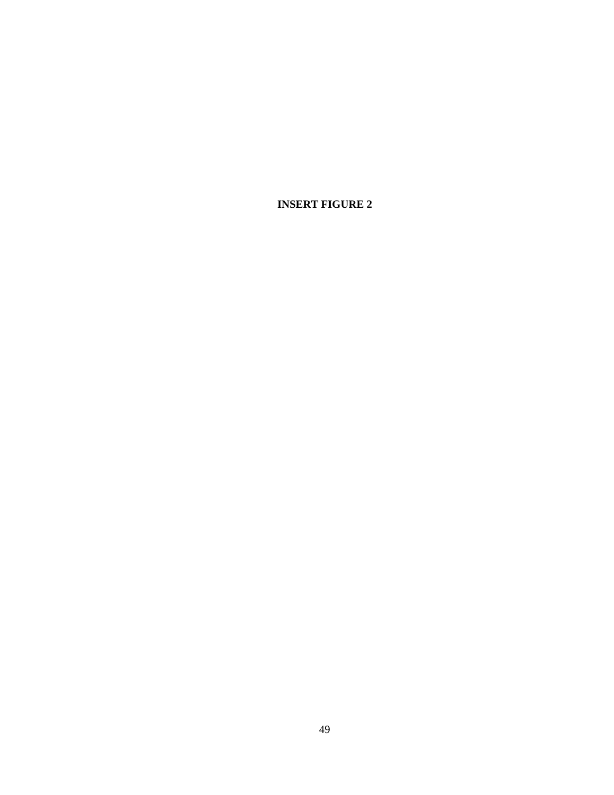**INSERT FIGURE 2**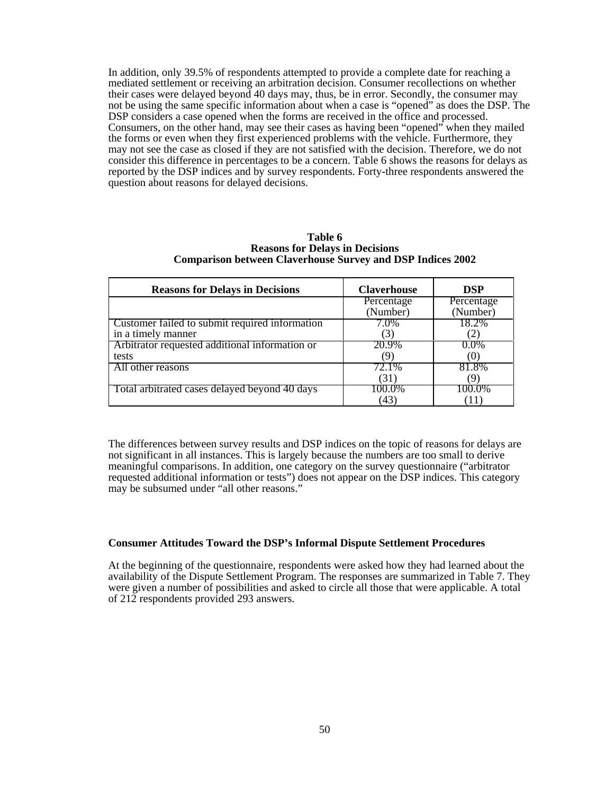In addition, only 39.5% of respondents attempted to provide a complete date for reaching a mediated settlement or receiving an arbitration decision. Consumer recollections on whether their cases were delayed beyond 40 days may, thus, be in error. Secondly, the consumer may not be using the same specific information about when a case is "opened" as does the DSP. The DSP considers a case opened when the forms are received in the office and processed. Consumers, on the other hand, may see their cases as having been "opened" when they mailed the forms or even when they first experienced problems with the vehicle. Furthermore, they may not see the case as closed if they are not satisfied with the decision. Therefore, we do not consider this difference in percentages to be a concern. Table 6 shows the reasons for delays as reported by the DSP indices and by survey respondents. Forty-three respondents answered the question about reasons for delayed decisions.

| <b>Reasons for Delays in Decisions</b>                               | <b>Claverhouse</b>     | <b>DSP</b>             |
|----------------------------------------------------------------------|------------------------|------------------------|
|                                                                      | Percentage<br>(Number) | Percentage<br>(Number) |
| Customer failed to submit required information<br>in a timely manner | 7.0%                   | 18.2%                  |
| Arbitrator requested additional information or<br>tests              | 20.9%                  | $0.0\%$<br>())         |
| All other reasons                                                    | 72.1%<br>(31)          | 81.8%                  |
| Total arbitrated cases delayed beyond 40 days                        | 100.0%<br>43           | 100.0%                 |

**Table 6 Reasons for Delays in Decisions Comparison between Claverhouse Survey and DSP Indices 2002**

The differences between survey results and DSP indices on the topic of reasons for delays are not significant in all instances. This is largely because the numbers are too small to derive meaningful comparisons. In addition, one category on the survey questionnaire ("arbitrator requested additional information or tests") does not appear on the DSP indices. This category may be subsumed under "all other reasons."

#### **Consumer Attitudes Toward the DSP's Informal Dispute Settlement Procedures**

At the beginning of the questionnaire, respondents were asked how they had learned about the availability of the Dispute Settlement Program. The responses are summarized in Table 7. They were given a number of possibilities and asked to circle all those that were applicable. A total of 212 respondents provided 293 answers.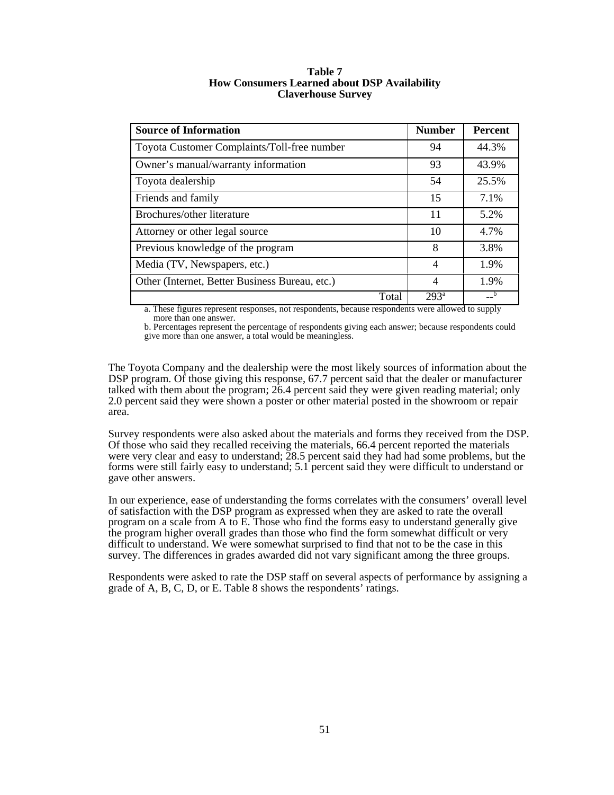| <b>Source of Information</b>                   | <b>Number</b>    | <b>Percent</b> |
|------------------------------------------------|------------------|----------------|
| Toyota Customer Complaints/Toll-free number    | 94               | 44.3%          |
| Owner's manual/warranty information            | 93               | 43.9%          |
| Toyota dealership                              | 54               | 25.5%          |
| Friends and family                             | 15               | 7.1%           |
| Brochures/other literature                     | 11               | 5.2%           |
| Attorney or other legal source                 | 10               | 4.7%           |
| Previous knowledge of the program              | 8                | 3.8%           |
| Media (TV, Newspapers, etc.)                   | $\overline{4}$   | 1.9%           |
| Other (Internet, Better Business Bureau, etc.) | $\overline{4}$   | 1.9%           |
| Total                                          | 293 <sup>a</sup> |                |

#### **Table 7 How Consumers Learned about DSP Availability Claverhouse Survey**

a. These figures represent responses, not respondents, because respondents were allowed to supply more than one answer.

b. Percentages represent the percentage of respondents giving each answer; because respondents could give more than one answer, a total would be meaningless.

The Toyota Company and the dealership were the most likely sources of information about the DSP program. Of those giving this response, 67.7 percent said that the dealer or manufacturer talked with them about the program; 26.4 percent said they were given reading material; only 2.0 percent said they were shown a poster or other material posted in the showroom or repair area.

Survey respondents were also asked about the materials and forms they received from the DSP. Of those who said they recalled receiving the materials, 66.4 percent reported the materials were very clear and easy to understand; 28.5 percent said they had had some problems, but the forms were still fairly easy to understand; 5.1 percent said they were difficult to understand or gave other answers.

In our experience, ease of understanding the forms correlates with the consumers' overall level of satisfaction with the DSP program as expressed when they are asked to rate the overall program on a scale from A to E. Those who find the forms easy to understand generally give the program higher overall grades than those who find the form somewhat difficult or very difficult to understand. We were somewhat surprised to find that not to be the case in this survey. The differences in grades awarded did not vary significant among the three groups.

Respondents were asked to rate the DSP staff on several aspects of performance by assigning a grade of A, B, C, D, or E. Table 8 shows the respondents' ratings.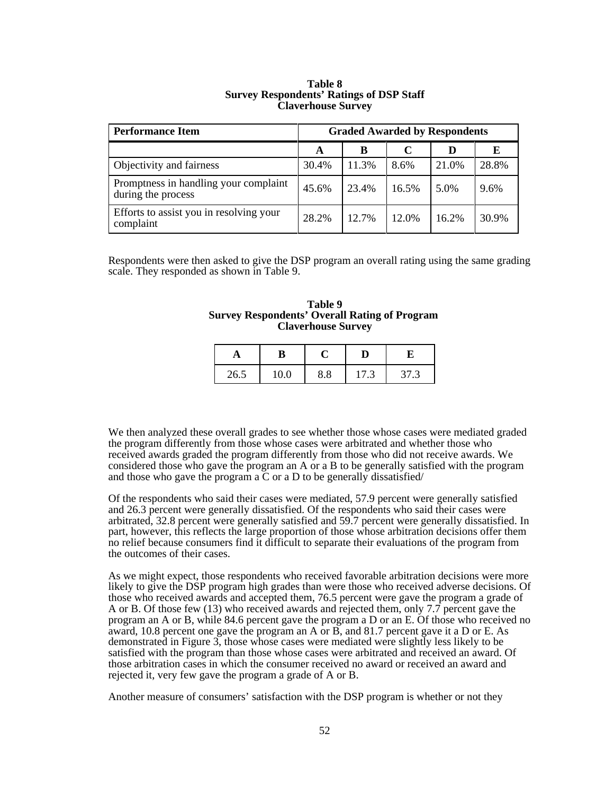| <b>Performance Item</b>                                     | <b>Graded Awarded by Respondents</b> |       |       |       |       |
|-------------------------------------------------------------|--------------------------------------|-------|-------|-------|-------|
|                                                             | A                                    | в     |       |       | Е     |
| Objectivity and fairness                                    | 30.4%                                | 11.3% | 8.6%  | 21.0% | 28.8% |
| Promptness in handling your complaint<br>during the process | 45.6%                                | 23.4% | 16.5% | 5.0%  | 9.6%  |
| Efforts to assist you in resolving your<br>complaint        | 28.2%                                | 12.7% | 12.0% | 16.2% | 30.9% |

#### **Table 8 Survey Respondents' Ratings of DSP Staff Claverhouse Survey**

Respondents were then asked to give the DSP program an overall rating using the same grading scale. They responded as shown in Table 9.

| Table 9                                              |
|------------------------------------------------------|
| <b>Survey Respondents' Overall Rating of Program</b> |
| <b>Claverhouse Survey</b>                            |

| 26.5 | 8.8 | 17.3 | 37.3 |
|------|-----|------|------|

We then analyzed these overall grades to see whether those whose cases were mediated graded the program differently from those whose cases were arbitrated and whether those who received awards graded the program differently from those who did not receive awards. We considered those who gave the program an A or a B to be generally satisfied with the program and those who gave the program a  $\overline{C}$  or a D to be generally dissatisfied/

Of the respondents who said their cases were mediated, 57.9 percent were generally satisfied and 26.3 percent were generally dissatisfied. Of the respondents who said their cases were arbitrated, 32.8 percent were generally satisfied and 59.7 percent were generally dissatisfied. In part, however, this reflects the large proportion of those whose arbitration decisions offer them no relief because consumers find it difficult to separate their evaluations of the program from the outcomes of their cases.

As we might expect, those respondents who received favorable arbitration decisions were more likely to give the DSP program high grades than were those who received adverse decisions. Of those who received awards and accepted them, 76.5 percent were gave the program a grade of A or B. Of those few (13) who received awards and rejected them, only 7.7 percent gave the program an A or B, while 84.6 percent gave the program a D or an E. Of those who received no award, 10.8 percent one gave the program an A or  $\overline{B}$ , and 81.7 percent gave it a D or E. As demonstrated in Figure 3, those whose cases were mediated were slightly less likely to be satisfied with the program than those whose cases were arbitrated and received an award. Of those arbitration cases in which the consumer received no award or received an award and rejected it, very few gave the program a grade of A or B.

Another measure of consumers' satisfaction with the DSP program is whether or not they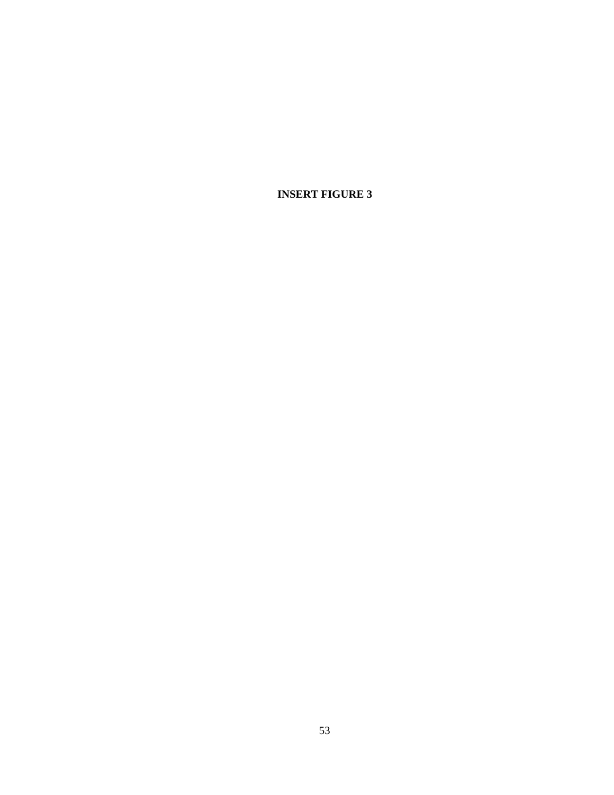**INSERT FIGURE 3**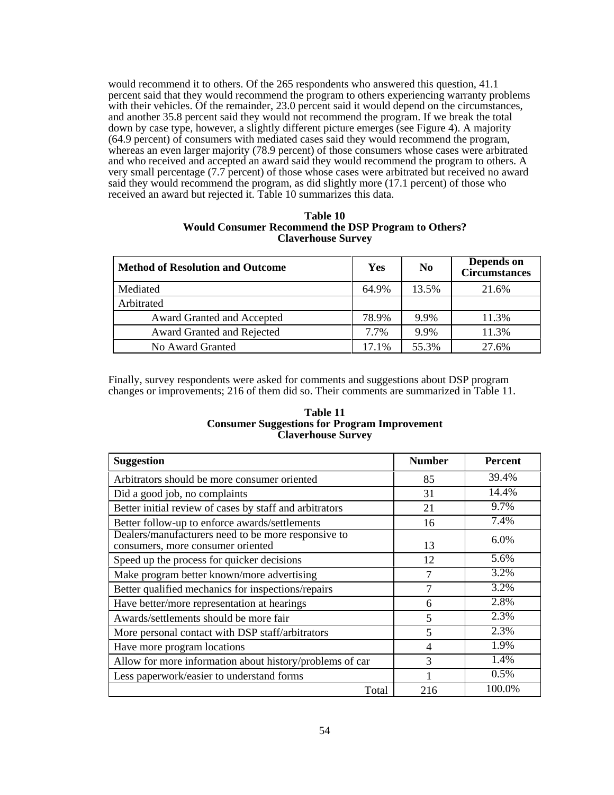would recommend it to others. Of the 265 respondents who answered this question, 41.1 percent said that they would recommend the program to others experiencing warranty problems with their vehicles. Of the remainder, 23.0 percent said it would depend on the circumstances, and another 35.8 percent said they would not recommend the program. If we break the total down by case type, however, a slightly different picture emerges (see Figure 4). A majority (64.9 percent) of consumers with mediated cases said they would recommend the program, whereas an even larger majority (78.9 percent) of those consumers whose cases were arbitrated and who received and accepted an award said they would recommend the program to others. A very small percentage (7.7 percent) of those whose cases were arbitrated but received no award said they would recommend the program, as did slightly more (17.1 percent) of those who received an award but rejected it. Table 10 summarizes this data.

| Table 10                                                   |
|------------------------------------------------------------|
| <b>Would Consumer Recommend the DSP Program to Others?</b> |
| <b>Claverhouse Survey</b>                                  |

| <b>Method of Resolution and Outcome</b> | Yes   | N <sub>0</sub> | Depends on<br><b>Circumstances</b> |
|-----------------------------------------|-------|----------------|------------------------------------|
| Mediated                                | 64.9% | 13.5%          | 21.6%                              |
| Arbitrated                              |       |                |                                    |
| Award Granted and Accepted              | 78.9% | 9.9%           | 11.3%                              |
| Award Granted and Rejected              | 7.7%  | 9.9%           | 11.3%                              |
| No Award Granted                        | 17.1% | 55.3%          | 27.6%                              |

Finally, survey respondents were asked for comments and suggestions about DSP program changes or improvements; 216 of them did so. Their comments are summarized in Table 11.

#### **Table 11 Consumer Suggestions for Program Improvement Claverhouse Survey**

| <b>Suggestion</b>                                                                        | <b>Number</b>            | <b>Percent</b> |
|------------------------------------------------------------------------------------------|--------------------------|----------------|
| Arbitrators should be more consumer oriented                                             | 85                       | 39.4%          |
| Did a good job, no complaints                                                            | 31                       | 14.4%          |
| Better initial review of cases by staff and arbitrators                                  | 21                       | 9.7%           |
| Better follow-up to enforce awards/settlements                                           | 16                       | 7.4%           |
| Dealers/manufacturers need to be more responsive to<br>consumers, more consumer oriented | 13                       | 6.0%           |
| Speed up the process for quicker decisions                                               | 12                       | 5.6%           |
| Make program better known/more advertising                                               | 7                        | 3.2%           |
| Better qualified mechanics for inspections/repairs                                       | 7                        | 3.2%           |
| Have better/more representation at hearings                                              | 6                        | 2.8%           |
| Awards/settlements should be more fair                                                   | $\overline{\phantom{0}}$ | 2.3%           |
| More personal contact with DSP staff/arbitrators                                         | 5                        | 2.3%           |
| Have more program locations                                                              | 4                        | 1.9%           |
| Allow for more information about history/problems of car                                 | 3                        | 1.4%           |
| Less paperwork/easier to understand forms                                                |                          | 0.5%           |
| Total                                                                                    | 216                      | 100.0%         |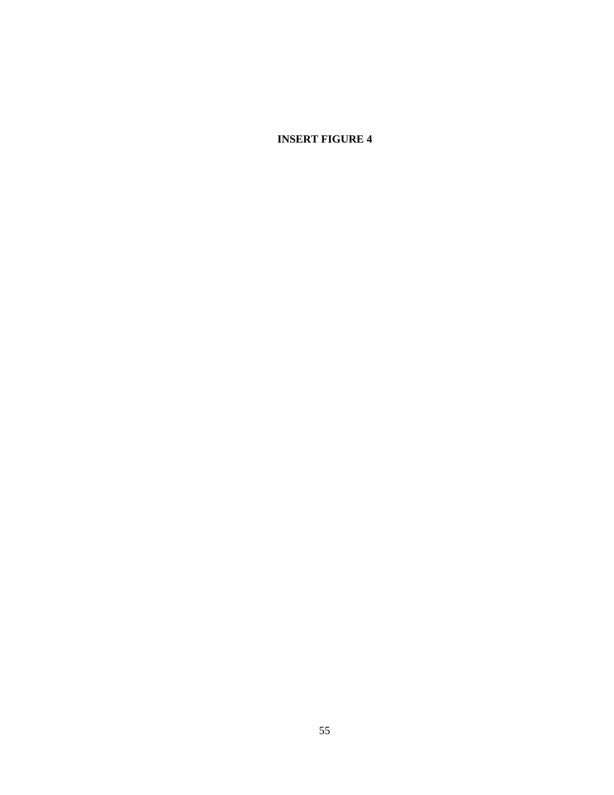**INSERT FIGURE 4**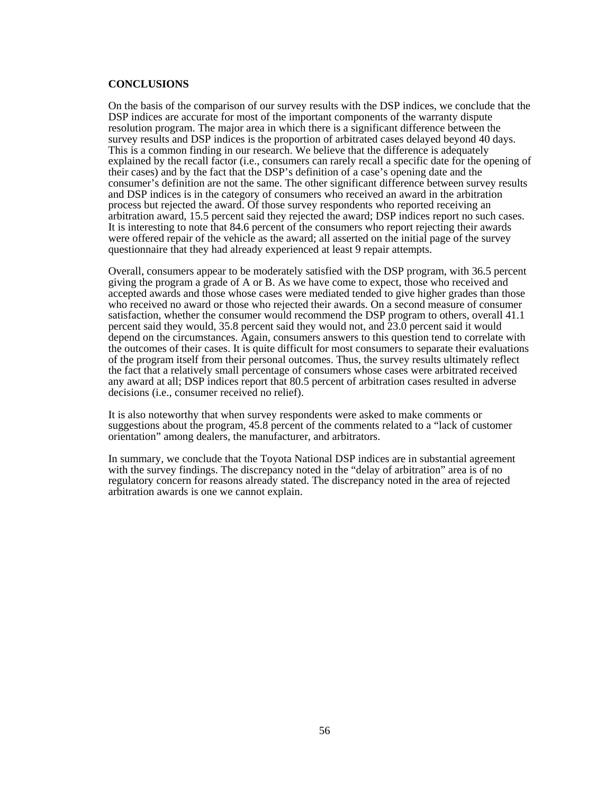#### **CONCLUSIONS**

On the basis of the comparison of our survey results with the DSP indices, we conclude that the DSP indices are accurate for most of the important components of the warranty dispute resolution program. The major area in which there is a significant difference between the survey results and DSP indices is the proportion of arbitrated cases delayed beyond 40 days. This is a common finding in our research. We believe that the difference is adequately explained by the recall factor (i.e., consumers can rarely recall a specific date for the opening of their cases) and by the fact that the DSP's definition of a case's opening date and the consumer's definition are not the same. The other significant difference between survey results and DSP indices is in the category of consumers who received an award in the arbitration process but rejected the award. Of those survey respondents who reported receiving an arbitration award, 15.5 percent said they rejected the award; DSP indices report no such cases. It is interesting to note that 84.6 percent of the consumers who report rejecting their awards were offered repair of the vehicle as the award; all asserted on the initial page of the survey questionnaire that they had already experienced at least 9 repair attempts.

Overall, consumers appear to be moderately satisfied with the DSP program, with 36.5 percent giving the program a grade of A or B. As we have come to expect, those who received and accepted awards and those whose cases were mediated tended to give higher grades than those who received no award or those who rejected their awards. On a second measure of consumer satisfaction, whether the consumer would recommend the DSP program to others, overall 41.1 percent said they would, 35.8 percent said they would not, and  $23.0$  percent said it would depend on the circumstances. Again, consumers answers to this question tend to correlate with the outcomes of their cases. It is quite difficult for most consumers to separate their evaluations of the program itself from their personal outcomes. Thus, the survey results ultimately reflect the fact that a relatively small percentage of consumers whose cases were arbitrated received any award at all; DSP indices report that 80.5 percent of arbitration cases resulted in adverse decisions (i.e., consumer received no relief).

It is also noteworthy that when survey respondents were asked to make comments or suggestions about the program, 45.8 percent of the comments related to a "lack of customer orientation" among dealers, the manufacturer, and arbitrators.

In summary, we conclude that the Toyota National DSP indices are in substantial agreement with the survey findings. The discrepancy noted in the "delay of arbitration" area is of no regulatory concern for reasons already stated. The discrepancy noted in the area of rejected arbitration awards is one we cannot explain.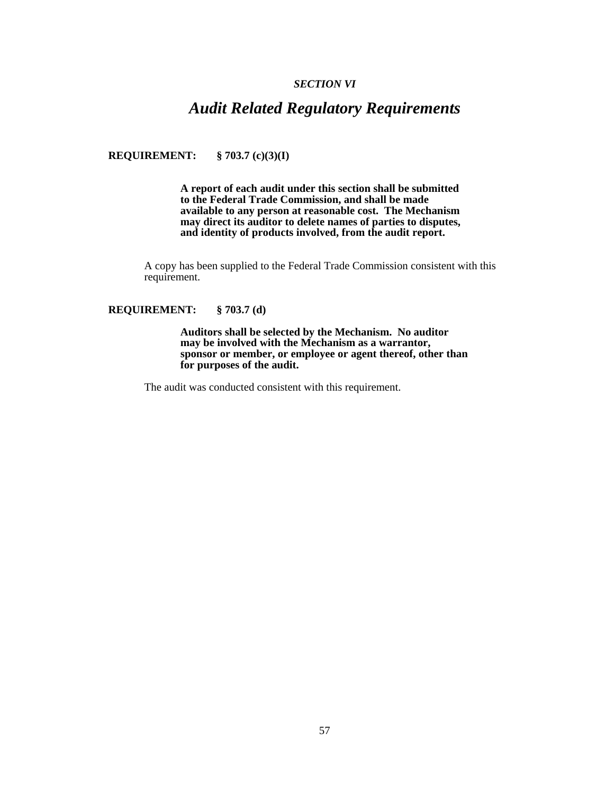#### *SECTION VI*

## *Audit Related Regulatory Requirements*

**REQUIREMENT: § 703.7 (c)(3)(I)**

**A report of each audit under this section shall be submitted to the Federal Trade Commission, and shall be made available to any person at reasonable cost. The Mechanism may direct its auditor to delete names of parties to disputes, and identity of products involved, from the audit report.**

A copy has been supplied to the Federal Trade Commission consistent with this requirement.

#### **REQUIREMENT: § 703.7 (d)**

**Auditors shall be selected by the Mechanism. No auditor may be involved with the Mechanism as a warrantor, sponsor or member, or employee or agent thereof, other than for purposes of the audit.**

The audit was conducted consistent with this requirement.